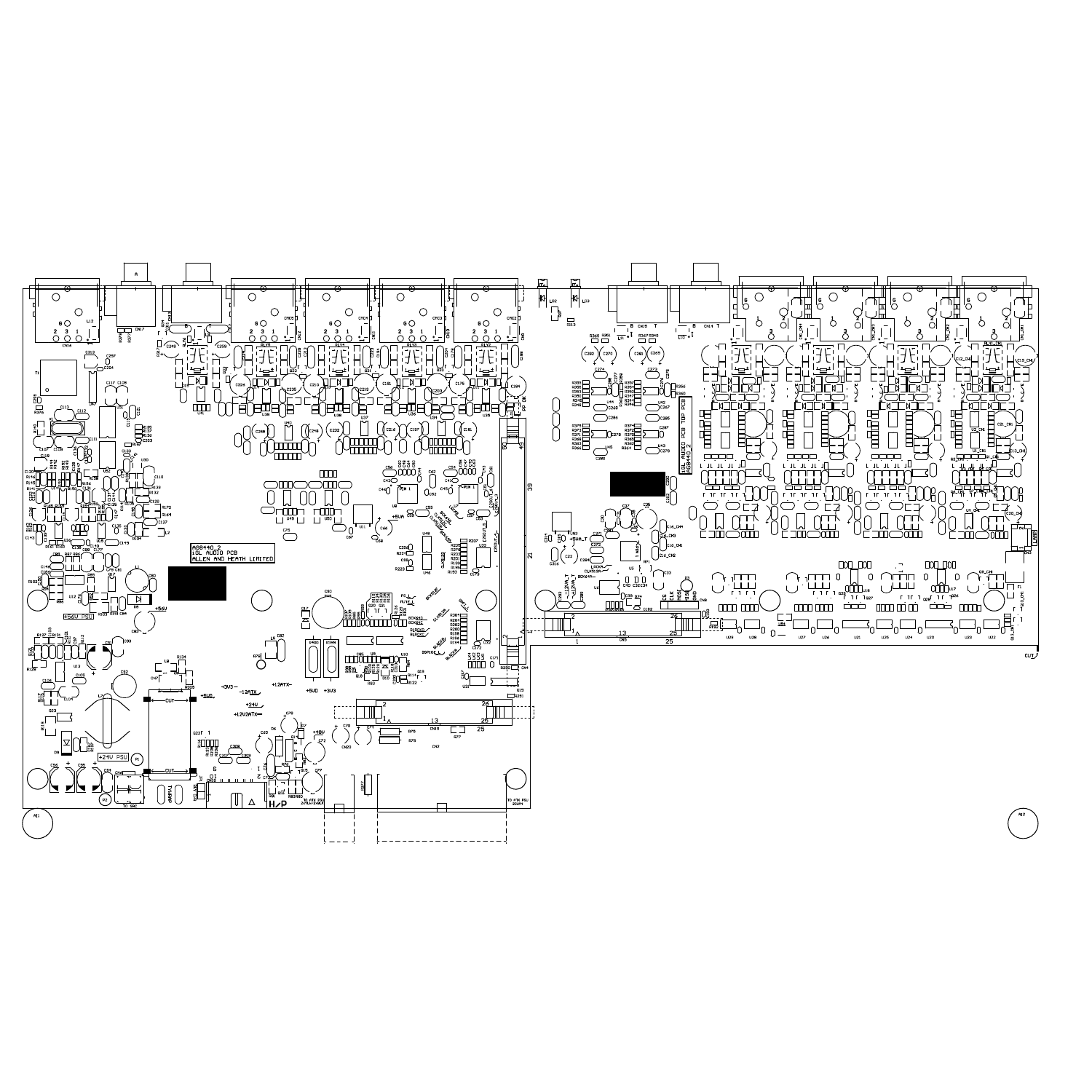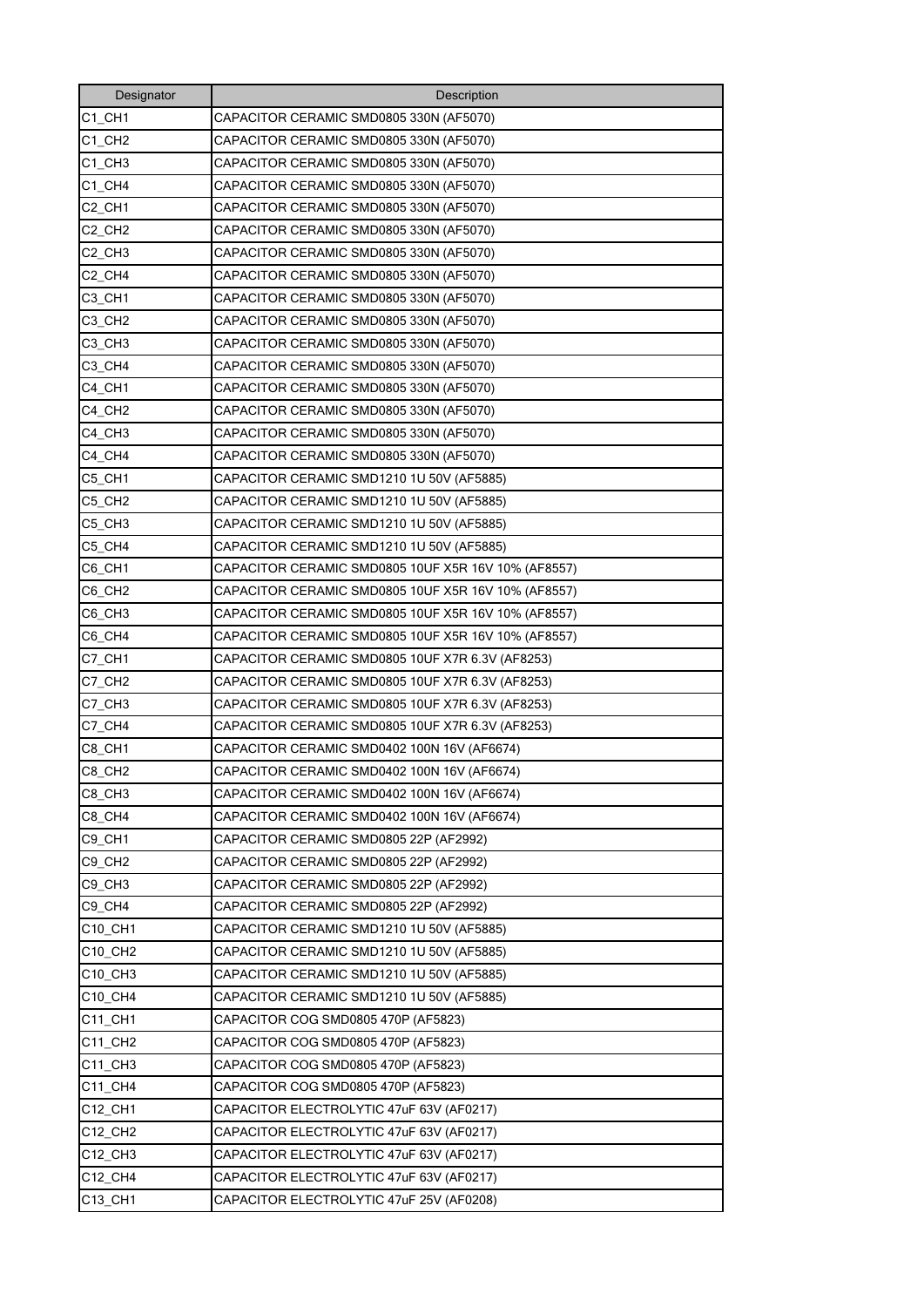| Designator                       | Description                                         |
|----------------------------------|-----------------------------------------------------|
| $C1$ <sub></sub> $CH1$           | CAPACITOR CERAMIC SMD0805 330N (AF5070)             |
| C1 CH <sub>2</sub>               | CAPACITOR CERAMIC SMD0805 330N (AF5070)             |
| C1 CH3                           | CAPACITOR CERAMIC SMD0805 330N (AF5070)             |
| $C1_C$ CH4                       | CAPACITOR CERAMIC SMD0805 330N (AF5070)             |
| C <sub>2_CH1</sub>               | CAPACITOR CERAMIC SMD0805 330N (AF5070)             |
| C <sub>2</sub> CH <sub>2</sub>   | CAPACITOR CERAMIC SMD0805 330N (AF5070)             |
| C <sub>2</sub> CH <sub>3</sub>   | CAPACITOR CERAMIC SMD0805 330N (AF5070)             |
| C <sub>2</sub> CH <sub>4</sub>   | CAPACITOR CERAMIC SMD0805 330N (AF5070)             |
| C3 CH1                           | CAPACITOR CERAMIC SMD0805 330N (AF5070)             |
| C3 CH <sub>2</sub>               | CAPACITOR CERAMIC SMD0805 330N (AF5070)             |
| C <sub>3</sub> _CH <sub>3</sub>  | CAPACITOR CERAMIC SMD0805 330N (AF5070)             |
| C3 CH4                           | CAPACITOR CERAMIC SMD0805 330N (AF5070)             |
| C4_CH1                           | CAPACITOR CERAMIC SMD0805 330N (AF5070)             |
| C4 CH <sub>2</sub>               | CAPACITOR CERAMIC SMD0805 330N (AF5070)             |
| C4_CH3                           | CAPACITOR CERAMIC SMD0805 330N (AF5070)             |
| C4_CH4                           | CAPACITOR CERAMIC SMD0805 330N (AF5070)             |
| C5 CH1                           | CAPACITOR CERAMIC SMD1210 1U 50V (AF5885)           |
| C5_CH2                           | CAPACITOR CERAMIC SMD1210 1U 50V (AF5885)           |
| C5 CH3                           | CAPACITOR CERAMIC SMD1210 1U 50V (AF5885)           |
| C5_CH4                           | CAPACITOR CERAMIC SMD1210 1U 50V (AF5885)           |
| C6 CH1                           | CAPACITOR CERAMIC SMD0805 10UF X5R 16V 10% (AF8557) |
| C6 CH <sub>2</sub>               | CAPACITOR CERAMIC SMD0805 10UF X5R 16V 10% (AF8557) |
| C6_CH3                           | CAPACITOR CERAMIC SMD0805 10UF X5R 16V 10% (AF8557) |
| C6_CH4                           | CAPACITOR CERAMIC SMD0805 10UF X5R 16V 10% (AF8557) |
| C7_CH1                           | CAPACITOR CERAMIC SMD0805 10UF X7R 6.3V (AF8253)    |
| C7_CH2                           | CAPACITOR CERAMIC SMD0805 10UF X7R 6.3V (AF8253)    |
| C7_CH3                           | CAPACITOR CERAMIC SMD0805 10UF X7R 6.3V (AF8253)    |
| C7_CH4                           | CAPACITOR CERAMIC SMD0805 10UF X7R 6.3V (AF8253)    |
| C8_CH1                           | CAPACITOR CERAMIC SMD0402 100N 16V (AF6674)         |
| C8_CH2                           | CAPACITOR CERAMIC SMD0402 100N 16V (AF6674)         |
| C8_CH3                           | CAPACITOR CERAMIC SMD0402 100N 16V (AF6674)         |
| C8_CH4                           | CAPACITOR CERAMIC SMD0402 100N 16V (AF6674)         |
| C9_CH1                           | CAPACITOR CERAMIC SMD0805 22P (AF2992)              |
| C9_CH2                           | CAPACITOR CERAMIC SMD0805 22P (AF2992)              |
| C9_CH3                           | CAPACITOR CERAMIC SMD0805 22P (AF2992)              |
| C9_CH4                           | CAPACITOR CERAMIC SMD0805 22P (AF2992)              |
| C10_CH1                          | CAPACITOR CERAMIC SMD1210 1U 50V (AF5885)           |
| C10 CH2                          | CAPACITOR CERAMIC SMD1210 1U 50V (AF5885)           |
| C <sub>10</sub> _CH <sub>3</sub> | CAPACITOR CERAMIC SMD1210 1U 50V (AF5885)           |
| C10 CH4                          | CAPACITOR CERAMIC SMD1210 1U 50V (AF5885)           |
| C11 CH1                          | CAPACITOR COG SMD0805 470P (AF5823)                 |
| C11 CH2                          | CAPACITOR COG SMD0805 470P (AF5823)                 |
| C11_CH3                          | CAPACITOR COG SMD0805 470P (AF5823)                 |
| C11_CH4                          | CAPACITOR COG SMD0805 470P (AF5823)                 |
| C12 CH1                          | CAPACITOR ELECTROLYTIC 47uF 63V (AF0217)            |
| C12_CH2                          | CAPACITOR ELECTROLYTIC 47uF 63V (AF0217)            |
| C12_CH3                          | CAPACITOR ELECTROLYTIC 47uF 63V (AF0217)            |
| C12 CH4                          | CAPACITOR ELECTROLYTIC 47uF 63V (AF0217)            |
| C13_CH1                          | CAPACITOR ELECTROLYTIC 47uF 25V (AF0208)            |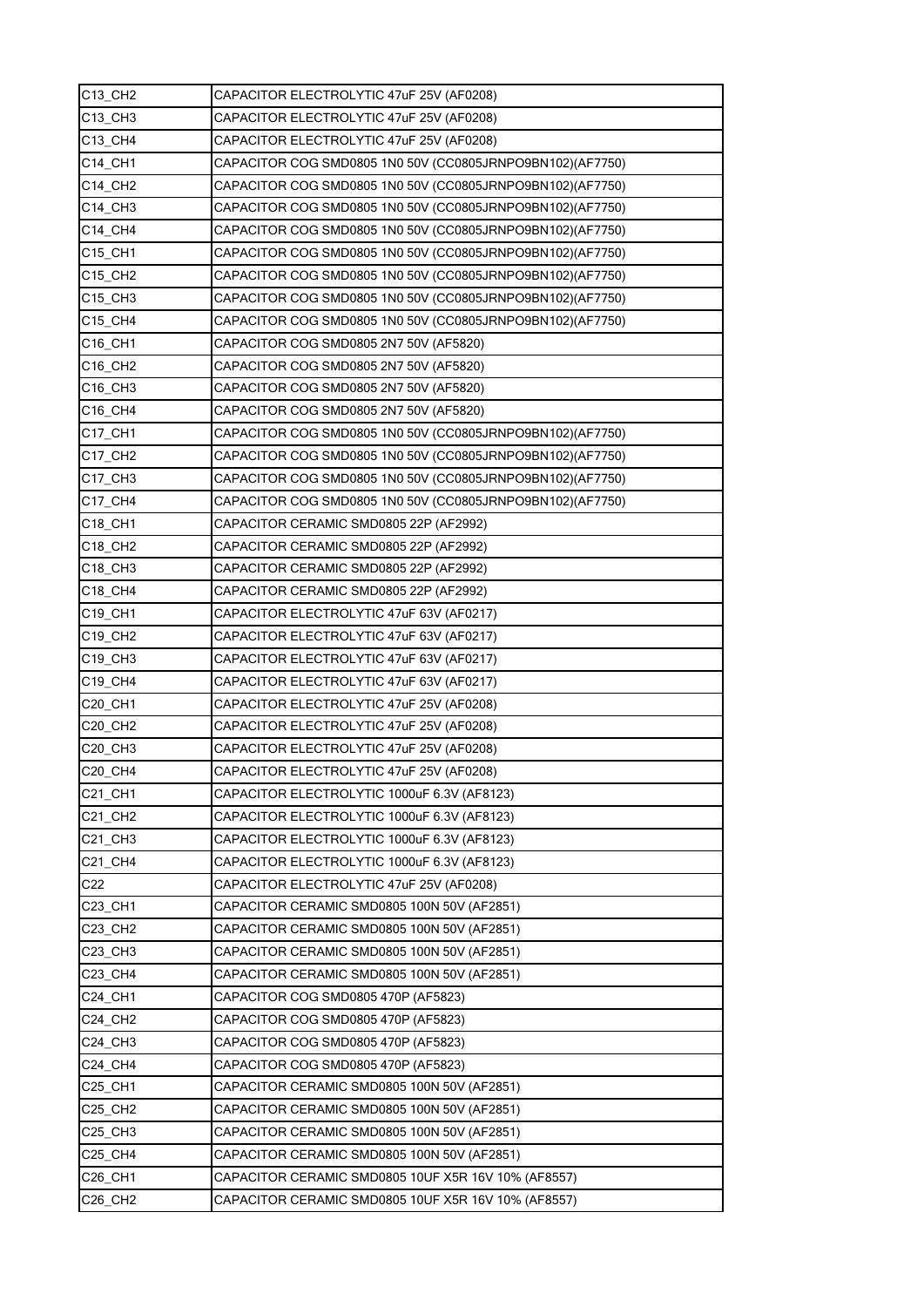| C13_CH2                         | CAPACITOR ELECTROLYTIC 47uF 25V (AF0208)                  |
|---------------------------------|-----------------------------------------------------------|
| C13_CH3                         | CAPACITOR ELECTROLYTIC 47uF 25V (AF0208)                  |
| C13 CH4                         | CAPACITOR ELECTROLYTIC 47uF 25V (AF0208)                  |
| C14 CH1                         | CAPACITOR COG SMD0805 1N0 50V (CC0805JRNPO9BN102)(AF7750) |
| C14 CH2                         | CAPACITOR COG SMD0805 1N0 50V (CC0805JRNPO9BN102)(AF7750) |
| C14_CH3                         | CAPACITOR COG SMD0805 1N0 50V (CC0805JRNPO9BN102)(AF7750) |
| C14_CH4                         | CAPACITOR COG SMD0805 1N0 50V (CC0805JRNPO9BN102)(AF7750) |
| C15 CH1                         | CAPACITOR COG SMD0805 1N0 50V (CC0805JRNPO9BN102)(AF7750) |
| C15 CH2                         | CAPACITOR COG SMD0805 1N0 50V (CC0805JRNPO9BN102)(AF7750) |
| C15_CH3                         | CAPACITOR COG SMD0805 1N0 50V (CC0805JRNPO9BN102)(AF7750) |
| C <sub>15</sub> C <sub>H4</sub> | CAPACITOR COG SMD0805 1N0 50V (CC0805JRNPO9BN102)(AF7750) |
| C16_CH1                         | CAPACITOR COG SMD0805 2N7 50V (AF5820)                    |
| C16_CH2                         | CAPACITOR COG SMD0805 2N7 50V (AF5820)                    |
| C16_CH3                         | CAPACITOR COG SMD0805 2N7 50V (AF5820)                    |
| C16 CH4                         | CAPACITOR COG SMD0805 2N7 50V (AF5820)                    |
| C17 CH1                         | CAPACITOR COG SMD0805 1N0 50V (CC0805JRNPO9BN102)(AF7750) |
| C17_CH2                         | CAPACITOR COG SMD0805 1N0 50V (CC0805JRNPO9BN102)(AF7750) |
| C17 CH3                         | CAPACITOR COG SMD0805 1N0 50V (CC0805JRNPO9BN102)(AF7750) |
| C17_CH4                         | CAPACITOR COG SMD0805 1N0 50V (CC0805JRNPO9BN102)(AF7750) |
| C18 CH1                         | CAPACITOR CERAMIC SMD0805 22P (AF2992)                    |
| C18_CH2                         | CAPACITOR CERAMIC SMD0805 22P (AF2992)                    |
| C18 CH3                         | CAPACITOR CERAMIC SMD0805 22P (AF2992)                    |
| C18_CH4                         | CAPACITOR CERAMIC SMD0805 22P (AF2992)                    |
| C19 CH1                         | CAPACITOR ELECTROLYTIC 47uF 63V (AF0217)                  |
| C19_CH2                         | CAPACITOR ELECTROLYTIC 47uF 63V (AF0217)                  |
| C19_CH3                         | CAPACITOR ELECTROLYTIC 47uF 63V (AF0217)                  |
| C19 CH4                         | CAPACITOR ELECTROLYTIC 47uF 63V (AF0217)                  |
| C20_CH1                         | CAPACITOR ELECTROLYTIC 47uF 25V (AF0208)                  |
| C20_CH2                         | CAPACITOR ELECTROLYTIC 47uF 25V (AF0208)                  |
| C20_CH3                         | CAPACITOR ELECTROLYTIC 47uF 25V (AF0208)                  |
| C20 CH4                         | CAPACITOR ELECTROLYTIC 47uF 25V (AF0208)                  |
| C21_CH1                         | CAPACITOR ELECTROLYTIC 1000uF 6.3V (AF8123)               |
| C21_CH2                         | CAPACITOR ELECTROLYTIC 1000uF 6.3V (AF8123)               |
| C21_CH3                         | CAPACITOR ELECTROLYTIC 1000uF 6.3V (AF8123)               |
| C21 CH4                         | CAPACITOR ELECTROLYTIC 1000uF 6.3V (AF8123)               |
| C <sub>22</sub>                 | CAPACITOR ELECTROLYTIC 47uF 25V (AF0208)                  |
| C23_CH1                         | CAPACITOR CERAMIC SMD0805 100N 50V (AF2851)               |
| C23_CH2                         | CAPACITOR CERAMIC SMD0805 100N 50V (AF2851)               |
| C23_CH3                         | CAPACITOR CERAMIC SMD0805 100N 50V (AF2851)               |
| C23_CH4                         | CAPACITOR CERAMIC SMD0805 100N 50V (AF2851)               |
| C24_CH1                         | CAPACITOR COG SMD0805 470P (AF5823)                       |
| C24_CH2                         | CAPACITOR COG SMD0805 470P (AF5823)                       |
| C24_CH3                         | CAPACITOR COG SMD0805 470P (AF5823)                       |
| C24_CH4                         | CAPACITOR COG SMD0805 470P (AF5823)                       |
| C25_CH1                         | CAPACITOR CERAMIC SMD0805 100N 50V (AF2851)               |
| C <sub>25</sub> C <sub>H2</sub> | CAPACITOR CERAMIC SMD0805 100N 50V (AF2851)               |
| C25_CH3                         | CAPACITOR CERAMIC SMD0805 100N 50V (AF2851)               |
| C25_CH4                         | CAPACITOR CERAMIC SMD0805 100N 50V (AF2851)               |
| C26_CH1                         | CAPACITOR CERAMIC SMD0805 10UF X5R 16V 10% (AF8557)       |
| C26_CH2                         | CAPACITOR CERAMIC SMD0805 10UF X5R 16V 10% (AF8557)       |
|                                 |                                                           |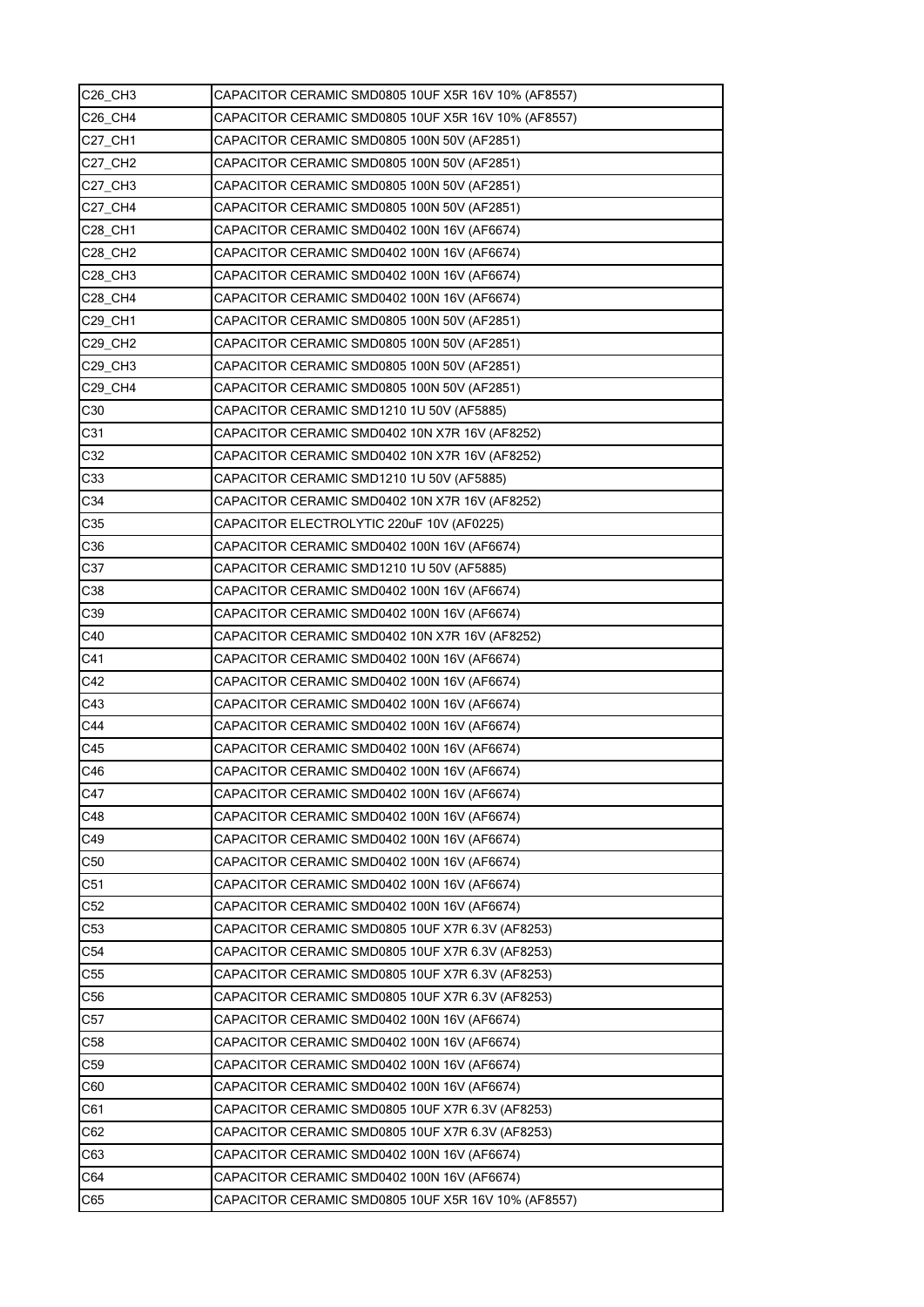| C26 CH3         | CAPACITOR CERAMIC SMD0805 10UF X5R 16V 10% (AF8557) |
|-----------------|-----------------------------------------------------|
| C26 CH4         | CAPACITOR CERAMIC SMD0805 10UF X5R 16V 10% (AF8557) |
| C27 CH1         | CAPACITOR CERAMIC SMD0805 100N 50V (AF2851)         |
| C27 CH2         | CAPACITOR CERAMIC SMD0805 100N 50V (AF2851)         |
| C27 CH3         | CAPACITOR CERAMIC SMD0805 100N 50V (AF2851)         |
| C27 CH4         | CAPACITOR CERAMIC SMD0805 100N 50V (AF2851)         |
| C28_CH1         | CAPACITOR CERAMIC SMD0402 100N 16V (AF6674)         |
| C28 CH2         | CAPACITOR CERAMIC SMD0402 100N 16V (AF6674)         |
| <b>C28 CH3</b>  | CAPACITOR CERAMIC SMD0402 100N 16V (AF6674)         |
| C28_CH4         | CAPACITOR CERAMIC SMD0402 100N 16V (AF6674)         |
| C29 CH1         | CAPACITOR CERAMIC SMD0805 100N 50V (AF2851)         |
| C29_CH2         | CAPACITOR CERAMIC SMD0805 100N 50V (AF2851)         |
| C29 CH3         | CAPACITOR CERAMIC SMD0805 100N 50V (AF2851)         |
| C29 CH4         | CAPACITOR CERAMIC SMD0805 100N 50V (AF2851)         |
| C30             | CAPACITOR CERAMIC SMD1210 1U 50V (AF5885)           |
| C31             | CAPACITOR CERAMIC SMD0402 10N X7R 16V (AF8252)      |
| C32             | CAPACITOR CERAMIC SMD0402 10N X7R 16V (AF8252)      |
| C33             | CAPACITOR CERAMIC SMD1210 1U 50V (AF5885)           |
| C34             | CAPACITOR CERAMIC SMD0402 10N X7R 16V (AF8252)      |
| C35             | CAPACITOR ELECTROLYTIC 220uF 10V (AF0225)           |
| C36             | CAPACITOR CERAMIC SMD0402 100N 16V (AF6674)         |
| C37             | CAPACITOR CERAMIC SMD1210 1U 50V (AF5885)           |
| C38             | CAPACITOR CERAMIC SMD0402 100N 16V (AF6674)         |
| C39             | CAPACITOR CERAMIC SMD0402 100N 16V (AF6674)         |
| C40             | CAPACITOR CERAMIC SMD0402 10N X7R 16V (AF8252)      |
| C41             | CAPACITOR CERAMIC SMD0402 100N 16V (AF6674)         |
| C42             | CAPACITOR CERAMIC SMD0402 100N 16V (AF6674)         |
| C43             | CAPACITOR CERAMIC SMD0402 100N 16V (AF6674)         |
| C44             | CAPACITOR CERAMIC SMD0402 100N 16V (AF6674)         |
| C45             | CAPACITOR CERAMIC SMD0402 100N 16V (AF6674)         |
| C46             | CAPACITOR CERAMIC SMD0402 100N 16V (AF6674)         |
| C47             | CAPACITOR CERAMIC SMD0402 100N 16V (AF6674)         |
| C48             | CAPACITOR CERAMIC SMD0402 100N 16V (AF6674)         |
| C49             | CAPACITOR CERAMIC SMD0402 100N 16V (AF6674)         |
| C50             | CAPACITOR CERAMIC SMD0402 100N 16V (AF6674)         |
| C <sub>51</sub> | CAPACITOR CERAMIC SMD0402 100N 16V (AF6674)         |
| C <sub>52</sub> | CAPACITOR CERAMIC SMD0402 100N 16V (AF6674)         |
| C53             | CAPACITOR CERAMIC SMD0805 10UF X7R 6.3V (AF8253)    |
| C <sub>54</sub> | CAPACITOR CERAMIC SMD0805 10UF X7R 6.3V (AF8253)    |
| C <sub>55</sub> | CAPACITOR CERAMIC SMD0805 10UF X7R 6.3V (AF8253)    |
| C56             | CAPACITOR CERAMIC SMD0805 10UF X7R 6.3V (AF8253)    |
| C <sub>57</sub> | CAPACITOR CERAMIC SMD0402 100N 16V (AF6674)         |
| C <sub>58</sub> | CAPACITOR CERAMIC SMD0402 100N 16V (AF6674)         |
| C59             | CAPACITOR CERAMIC SMD0402 100N 16V (AF6674)         |
| C60             | CAPACITOR CERAMIC SMD0402 100N 16V (AF6674)         |
| C61             | CAPACITOR CERAMIC SMD0805 10UF X7R 6.3V (AF8253)    |
| C62             | CAPACITOR CERAMIC SMD0805 10UF X7R 6.3V (AF8253)    |
| C63             | CAPACITOR CERAMIC SMD0402 100N 16V (AF6674)         |
| C64             | CAPACITOR CERAMIC SMD0402 100N 16V (AF6674)         |
| C65             | CAPACITOR CERAMIC SMD0805 10UF X5R 16V 10% (AF8557) |
|                 |                                                     |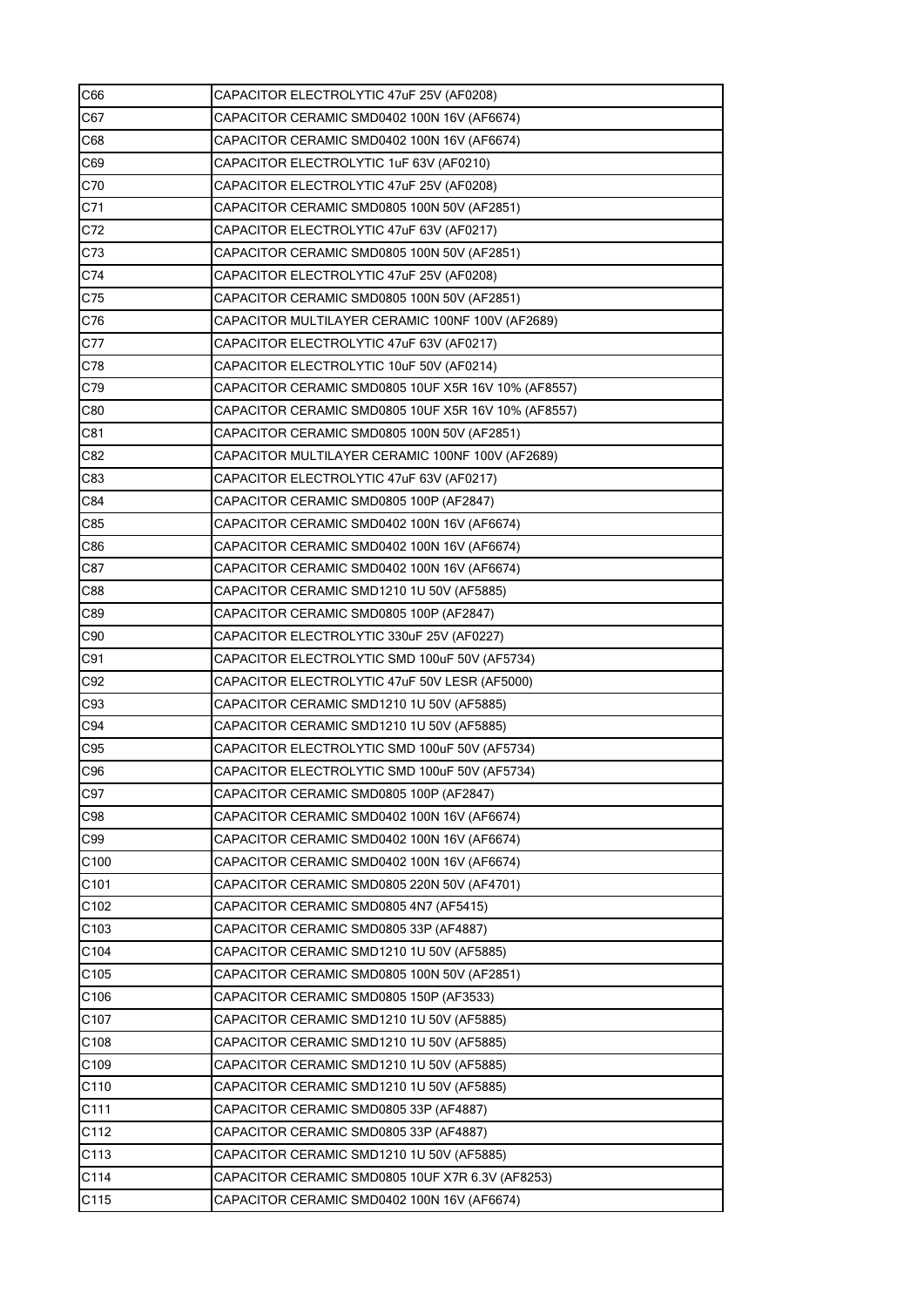| C66              | CAPACITOR ELECTROLYTIC 47uF 25V (AF0208)            |
|------------------|-----------------------------------------------------|
| C67              | CAPACITOR CERAMIC SMD0402 100N 16V (AF6674)         |
| C68              | CAPACITOR CERAMIC SMD0402 100N 16V (AF6674)         |
| C69              | CAPACITOR ELECTROLYTIC 1uF 63V (AF0210)             |
| C70              | CAPACITOR ELECTROLYTIC 47uF 25V (AF0208)            |
| C71              | CAPACITOR CERAMIC SMD0805 100N 50V (AF2851)         |
| C72              | CAPACITOR ELECTROLYTIC 47uF 63V (AF0217)            |
| C73              | CAPACITOR CERAMIC SMD0805 100N 50V (AF2851)         |
| C74              | CAPACITOR ELECTROLYTIC 47uF 25V (AF0208)            |
| C75              | CAPACITOR CERAMIC SMD0805 100N 50V (AF2851)         |
| C76              | CAPACITOR MULTILAYER CERAMIC 100NF 100V (AF2689)    |
| C77              | CAPACITOR ELECTROLYTIC 47uF 63V (AF0217)            |
| C78              | CAPACITOR ELECTROLYTIC 10uF 50V (AF0214)            |
| C79              | CAPACITOR CERAMIC SMD0805 10UF X5R 16V 10% (AF8557) |
| C80              | CAPACITOR CERAMIC SMD0805 10UF X5R 16V 10% (AF8557) |
| C81              | CAPACITOR CERAMIC SMD0805 100N 50V (AF2851)         |
| C82              | CAPACITOR MULTILAYER CERAMIC 100NF 100V (AF2689)    |
| C83              | CAPACITOR ELECTROLYTIC 47uF 63V (AF0217)            |
| C84              | CAPACITOR CERAMIC SMD0805 100P (AF2847)             |
| C85              | CAPACITOR CERAMIC SMD0402 100N 16V (AF6674)         |
| C86              | CAPACITOR CERAMIC SMD0402 100N 16V (AF6674)         |
| C87              | CAPACITOR CERAMIC SMD0402 100N 16V (AF6674)         |
| C88              | CAPACITOR CERAMIC SMD1210 1U 50V (AF5885)           |
| C89              | CAPACITOR CERAMIC SMD0805 100P (AF2847)             |
| C90              | CAPACITOR ELECTROLYTIC 330uF 25V (AF0227)           |
| C91              | CAPACITOR ELECTROLYTIC SMD 100uF 50V (AF5734)       |
| C92              | CAPACITOR ELECTROLYTIC 47uF 50V LESR (AF5000)       |
| C93              | CAPACITOR CERAMIC SMD1210 1U 50V (AF5885)           |
| C94              | CAPACITOR CERAMIC SMD1210 1U 50V (AF5885)           |
| C95              | CAPACITOR ELECTROLYTIC SMD 100uF 50V (AF5734)       |
| C96              | CAPACITOR ELECTROLYTIC SMD 100uF 50V (AF5734)       |
| C97              | CAPACITOR CERAMIC SMD0805 100P (AF2847)             |
| C98              | CAPACITOR CERAMIC SMD0402 100N 16V (AF6674)         |
| C99              | CAPACITOR CERAMIC SMD0402 100N 16V (AF6674)         |
| C <sub>100</sub> | CAPACITOR CERAMIC SMD0402 100N 16V (AF6674)         |
| C <sub>101</sub> | CAPACITOR CERAMIC SMD0805 220N 50V (AF4701)         |
| C102             | CAPACITOR CERAMIC SMD0805 4N7 (AF5415)              |
| C103             | CAPACITOR CERAMIC SMD0805 33P (AF4887)              |
| C104             | CAPACITOR CERAMIC SMD1210 1U 50V (AF5885)           |
| C105             | CAPACITOR CERAMIC SMD0805 100N 50V (AF2851)         |
| C106             | CAPACITOR CERAMIC SMD0805 150P (AF3533)             |
| C <sub>107</sub> | CAPACITOR CERAMIC SMD1210 1U 50V (AF5885)           |
| C <sub>108</sub> | CAPACITOR CERAMIC SMD1210 1U 50V (AF5885)           |
| C109             | CAPACITOR CERAMIC SMD1210 1U 50V (AF5885)           |
| C110             | CAPACITOR CERAMIC SMD1210 1U 50V (AF5885)           |
| C111             | CAPACITOR CERAMIC SMD0805 33P (AF4887)              |
| C112             | CAPACITOR CERAMIC SMD0805 33P (AF4887)              |
| C113             | CAPACITOR CERAMIC SMD1210 1U 50V (AF5885)           |
| C114             | CAPACITOR CERAMIC SMD0805 10UF X7R 6.3V (AF8253)    |
| C115             | CAPACITOR CERAMIC SMD0402 100N 16V (AF6674)         |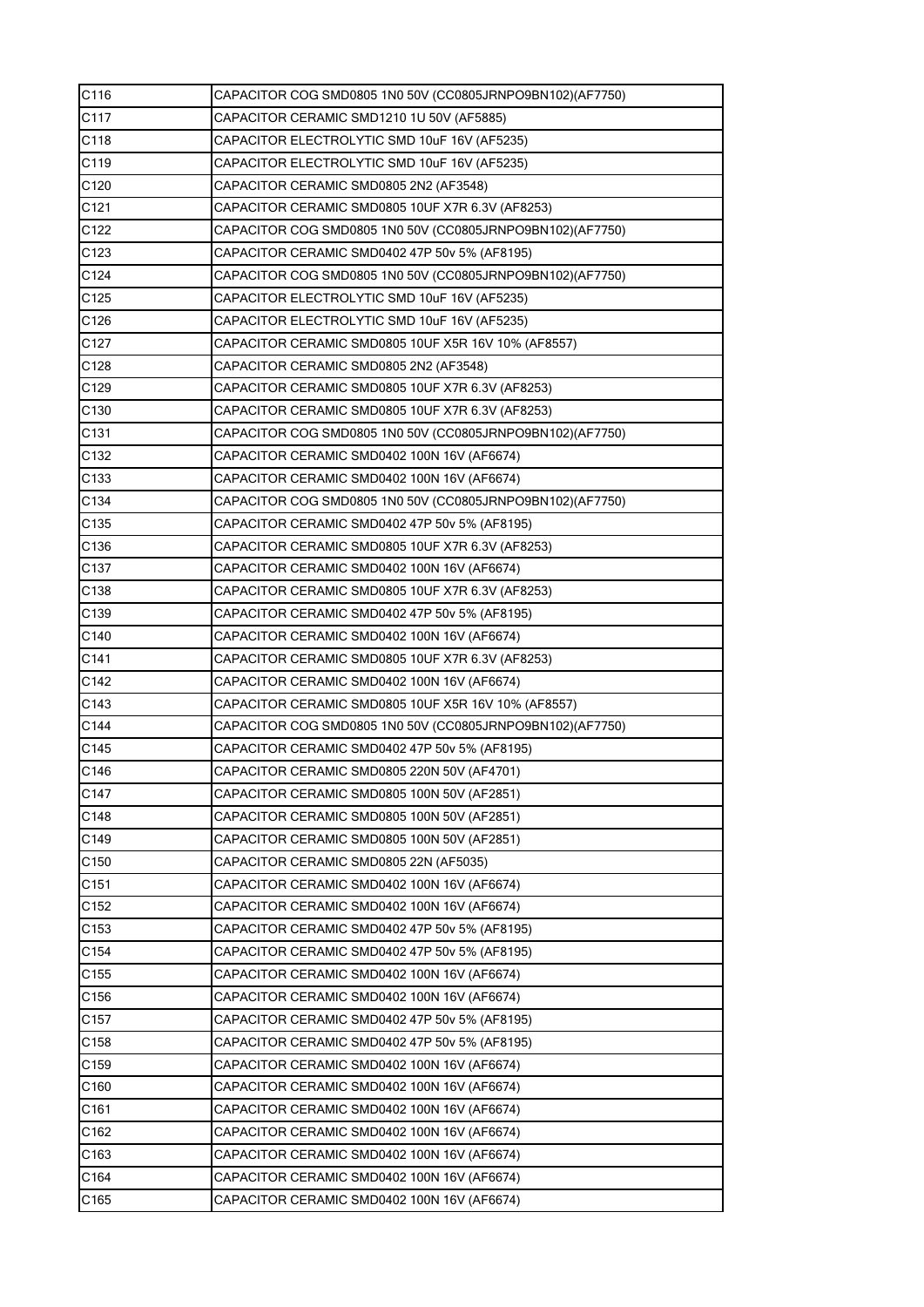| C116             | CAPACITOR COG SMD0805 1N0 50V (CC0805JRNPO9BN102)(AF7750) |
|------------------|-----------------------------------------------------------|
| C117             | CAPACITOR CERAMIC SMD1210 1U 50V (AF5885)                 |
| C118             | CAPACITOR ELECTROLYTIC SMD 10uF 16V (AF5235)              |
| C <sub>119</sub> | CAPACITOR ELECTROLYTIC SMD 10uF 16V (AF5235)              |
| C120             | CAPACITOR CERAMIC SMD0805 2N2 (AF3548)                    |
| C <sub>121</sub> | CAPACITOR CERAMIC SMD0805 10UF X7R 6.3V (AF8253)          |
| C122             | CAPACITOR COG SMD0805 1N0 50V (CC0805JRNPO9BN102)(AF7750) |
| C123             | CAPACITOR CERAMIC SMD0402 47P 50v 5% (AF8195)             |
| C124             | CAPACITOR COG SMD0805 1N0 50V (CC0805JRNPO9BN102)(AF7750) |
| C125             | CAPACITOR ELECTROLYTIC SMD 10uF 16V (AF5235)              |
| C126             | CAPACITOR ELECTROLYTIC SMD 10uF 16V (AF5235)              |
| C127             | CAPACITOR CERAMIC SMD0805 10UF X5R 16V 10% (AF8557)       |
| C128             | CAPACITOR CERAMIC SMD0805 2N2 (AF3548)                    |
| C129             | CAPACITOR CERAMIC SMD0805 10UF X7R 6.3V (AF8253)          |
| C130             | CAPACITOR CERAMIC SMD0805 10UF X7R 6.3V (AF8253)          |
| C131             | CAPACITOR COG SMD0805 1N0 50V (CC0805JRNPO9BN102)(AF7750) |
| C132             | CAPACITOR CERAMIC SMD0402 100N 16V (AF6674)               |
| C133             | CAPACITOR CERAMIC SMD0402 100N 16V (AF6674)               |
| C134             | CAPACITOR COG SMD0805 1N0 50V (CC0805JRNPO9BN102)(AF7750) |
| C135             | CAPACITOR CERAMIC SMD0402 47P 50v 5% (AF8195)             |
| C <sub>136</sub> | CAPACITOR CERAMIC SMD0805 10UF X7R 6.3V (AF8253)          |
| C137             | CAPACITOR CERAMIC SMD0402 100N 16V (AF6674)               |
| C <sub>138</sub> | CAPACITOR CERAMIC SMD0805 10UF X7R 6.3V (AF8253)          |
| C139             | CAPACITOR CERAMIC SMD0402 47P 50v 5% (AF8195)             |
| C140             | CAPACITOR CERAMIC SMD0402 100N 16V (AF6674)               |
| C141             | CAPACITOR CERAMIC SMD0805 10UF X7R 6.3V (AF8253)          |
| C142             | CAPACITOR CERAMIC SMD0402 100N 16V (AF6674)               |
| C143             | CAPACITOR CERAMIC SMD0805 10UF X5R 16V 10% (AF8557)       |
| C144             | CAPACITOR COG SMD0805 1N0 50V (CC0805JRNPO9BN102)(AF7750) |
| C145             | CAPACITOR CERAMIC SMD0402 47P 50v 5% (AF8195)             |
| C146             | CAPACITOR CERAMIC SMD0805 220N 50V (AF4701)               |
| C147             | CAPACITOR CERAMIC SMD0805 100N 50V (AF2851)               |
| C148             | CAPACITOR CERAMIC SMD0805 100N 50V (AF2851)               |
| C149             | CAPACITOR CERAMIC SMD0805 100N 50V (AF2851)               |
| C <sub>150</sub> | CAPACITOR CERAMIC SMD0805 22N (AF5035)                    |
| C <sub>151</sub> | CAPACITOR CERAMIC SMD0402 100N 16V (AF6674)               |
| C152             | CAPACITOR CERAMIC SMD0402 100N 16V (AF6674)               |
| C153             | CAPACITOR CERAMIC SMD0402 47P 50v 5% (AF8195)             |
| C154             | CAPACITOR CERAMIC SMD0402 47P 50v 5% (AF8195)             |
| C155             | CAPACITOR CERAMIC SMD0402 100N 16V (AF6674)               |
| C156             | CAPACITOR CERAMIC SMD0402 100N 16V (AF6674)               |
| C157             | CAPACITOR CERAMIC SMD0402 47P 50v 5% (AF8195)             |
| C <sub>158</sub> | CAPACITOR CERAMIC SMD0402 47P 50v 5% (AF8195)             |
| C159             | CAPACITOR CERAMIC SMD0402 100N 16V (AF6674)               |
| C <sub>160</sub> | CAPACITOR CERAMIC SMD0402 100N 16V (AF6674)               |
| C <sub>161</sub> | CAPACITOR CERAMIC SMD0402 100N 16V (AF6674)               |
| C162             | CAPACITOR CERAMIC SMD0402 100N 16V (AF6674)               |
| C163             | CAPACITOR CERAMIC SMD0402 100N 16V (AF6674)               |
| C164             | CAPACITOR CERAMIC SMD0402 100N 16V (AF6674)               |
| C165             | CAPACITOR CERAMIC SMD0402 100N 16V (AF6674)               |
|                  |                                                           |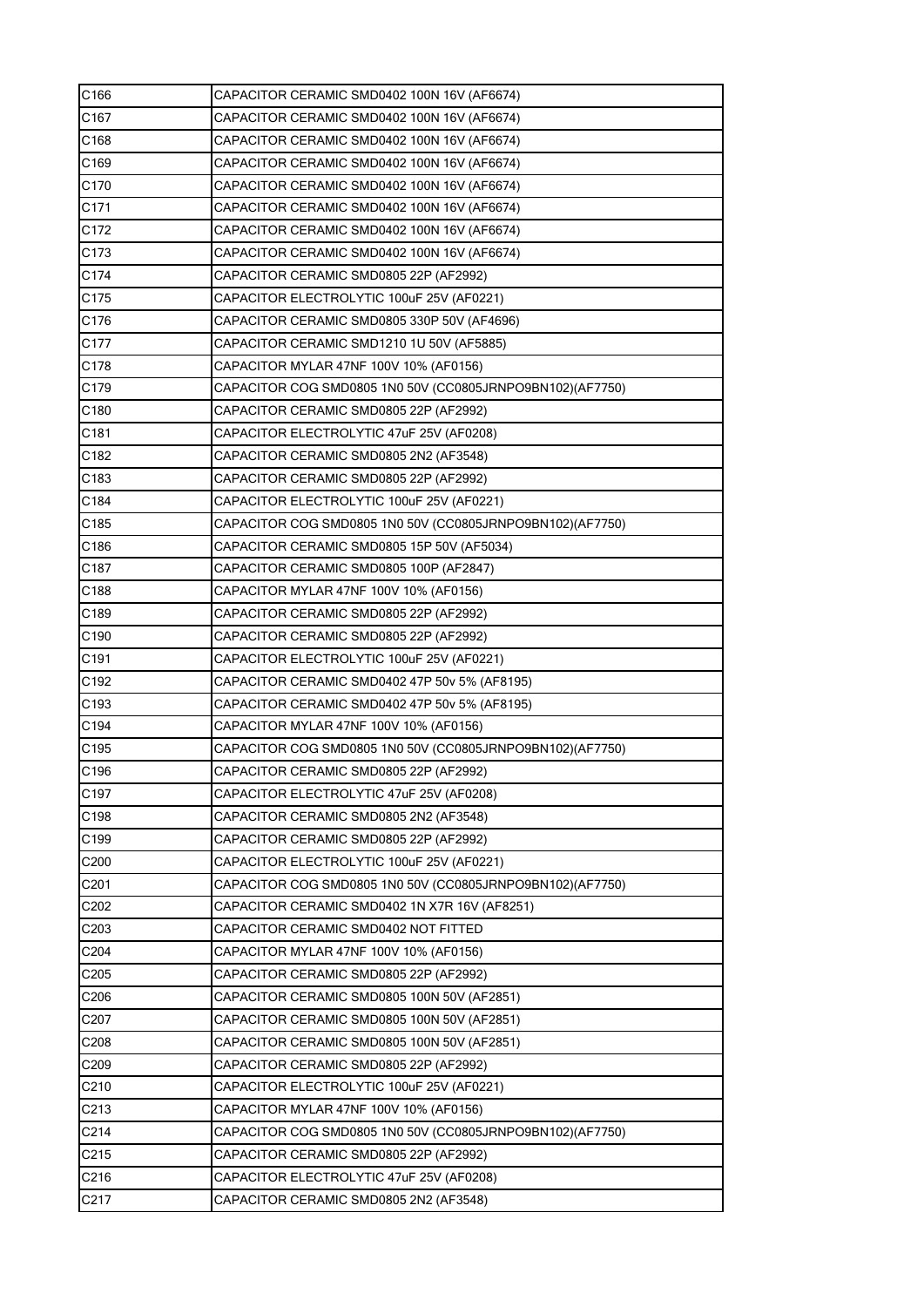| C166             | CAPACITOR CERAMIC SMD0402 100N 16V (AF6674)               |
|------------------|-----------------------------------------------------------|
| C167             | CAPACITOR CERAMIC SMD0402 100N 16V (AF6674)               |
| C168             | CAPACITOR CERAMIC SMD0402 100N 16V (AF6674)               |
| C169             | CAPACITOR CERAMIC SMD0402 100N 16V (AF6674)               |
| C170             | CAPACITOR CERAMIC SMD0402 100N 16V (AF6674)               |
| C171             | CAPACITOR CERAMIC SMD0402 100N 16V (AF6674)               |
| C172             | CAPACITOR CERAMIC SMD0402 100N 16V (AF6674)               |
| C173             | CAPACITOR CERAMIC SMD0402 100N 16V (AF6674)               |
| C174             | CAPACITOR CERAMIC SMD0805 22P (AF2992)                    |
| C175             | CAPACITOR ELECTROLYTIC 100uF 25V (AF0221)                 |
| C176             | CAPACITOR CERAMIC SMD0805 330P 50V (AF4696)               |
| C177             | CAPACITOR CERAMIC SMD1210 1U 50V (AF5885)                 |
| C178             | CAPACITOR MYLAR 47NF 100V 10% (AF0156)                    |
| C179             | CAPACITOR COG SMD0805 1N0 50V (CC0805JRNPO9BN102)(AF7750) |
| C180             | CAPACITOR CERAMIC SMD0805 22P (AF2992)                    |
| C181             | CAPACITOR ELECTROLYTIC 47uF 25V (AF0208)                  |
| C182             | CAPACITOR CERAMIC SMD0805 2N2 (AF3548)                    |
| C183             | CAPACITOR CERAMIC SMD0805 22P (AF2992)                    |
| C184             | CAPACITOR ELECTROLYTIC 100uF 25V (AF0221)                 |
| C185             | CAPACITOR COG SMD0805 1N0 50V (CC0805JRNPO9BN102)(AF7750) |
| C186             | CAPACITOR CERAMIC SMD0805 15P 50V (AF5034)                |
| C187             | CAPACITOR CERAMIC SMD0805 100P (AF2847)                   |
| C188             | CAPACITOR MYLAR 47NF 100V 10% (AF0156)                    |
| C189             | CAPACITOR CERAMIC SMD0805 22P (AF2992)                    |
| C <sub>190</sub> | CAPACITOR CERAMIC SMD0805 22P (AF2992)                    |
| C191             | CAPACITOR ELECTROLYTIC 100uF 25V (AF0221)                 |
| C192             | CAPACITOR CERAMIC SMD0402 47P 50v 5% (AF8195)             |
| C193             | CAPACITOR CERAMIC SMD0402 47P 50v 5% (AF8195)             |
| C194             | CAPACITOR MYLAR 47NF 100V 10% (AF0156)                    |
| C195             | CAPACITOR COG SMD0805 1N0 50V (CC0805JRNPO9BN102)(AF7750) |
| C196             | CAPACITOR CERAMIC SMD0805 22P (AF2992)                    |
| C197             | CAPACITOR ELECTROLYTIC 47uF 25V (AF0208)                  |
| C198             | CAPACITOR CERAMIC SMD0805 2N2 (AF3548)                    |
| C199             | CAPACITOR CERAMIC SMD0805 22P (AF2992)                    |
| C200             | CAPACITOR ELECTROLYTIC 100uF 25V (AF0221)                 |
| C201             | CAPACITOR COG SMD0805 1N0 50V (CC0805JRNPO9BN102)(AF7750) |
| C202             | CAPACITOR CERAMIC SMD0402 1N X7R 16V (AF8251)             |
| C203             | CAPACITOR CERAMIC SMD0402 NOT FITTED                      |
| C204             | CAPACITOR MYLAR 47NF 100V 10% (AF0156)                    |
| C <sub>205</sub> | CAPACITOR CERAMIC SMD0805 22P (AF2992)                    |
| C206             | CAPACITOR CERAMIC SMD0805 100N 50V (AF2851)               |
| C207             | CAPACITOR CERAMIC SMD0805 100N 50V (AF2851)               |
| C208             | CAPACITOR CERAMIC SMD0805 100N 50V (AF2851)               |
| C209             | CAPACITOR CERAMIC SMD0805 22P (AF2992)                    |
| C210             | CAPACITOR ELECTROLYTIC 100uF 25V (AF0221)                 |
| C213             | CAPACITOR MYLAR 47NF 100V 10% (AF0156)                    |
| C214             | CAPACITOR COG SMD0805 1N0 50V (CC0805JRNPO9BN102)(AF7750) |
| C215             | CAPACITOR CERAMIC SMD0805 22P (AF2992)                    |
| C216             | CAPACITOR ELECTROLYTIC 47uF 25V (AF0208)                  |
| C217             | CAPACITOR CERAMIC SMD0805 2N2 (AF3548)                    |
|                  |                                                           |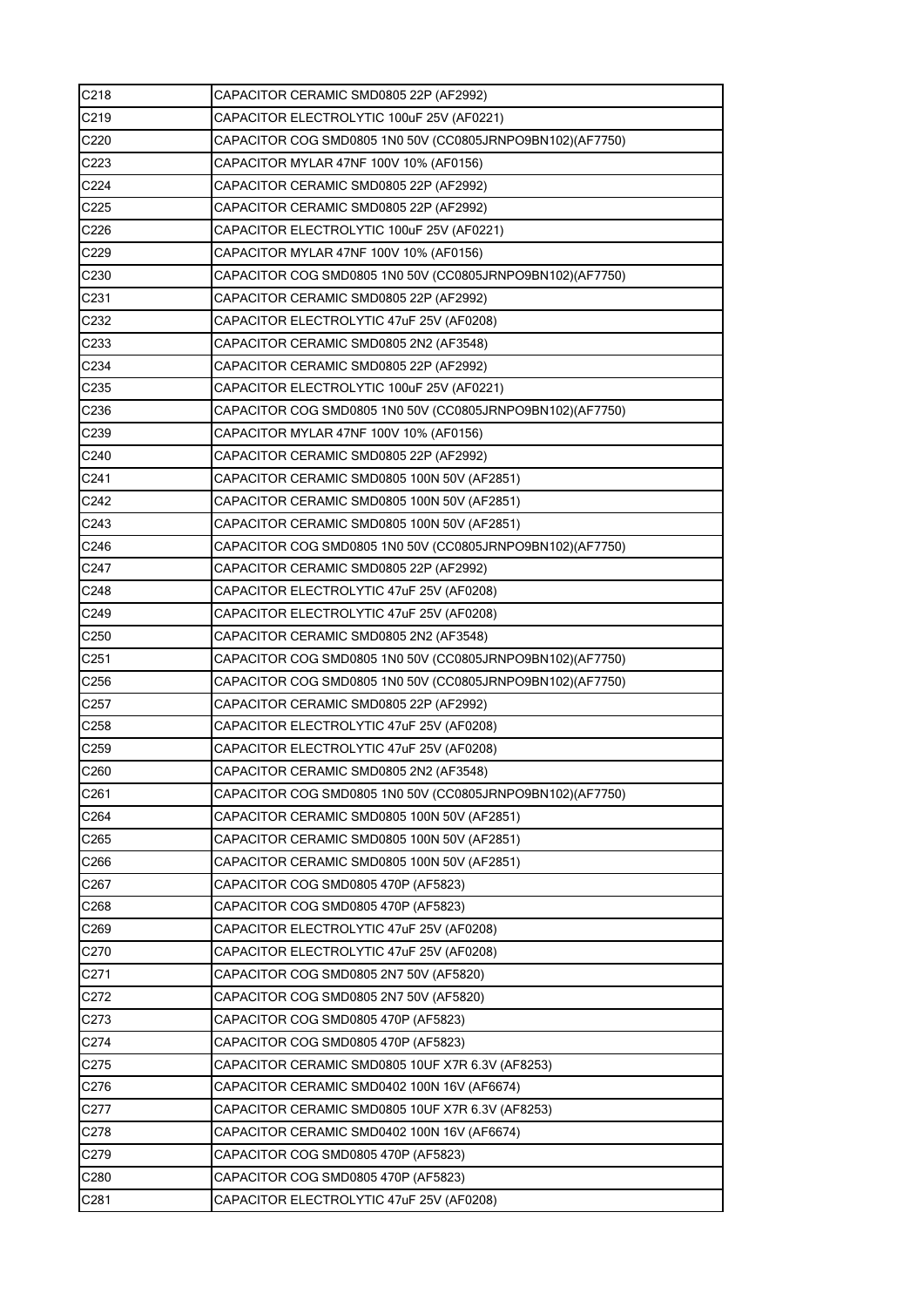| C218             | CAPACITOR CERAMIC SMD0805 22P (AF2992)                    |
|------------------|-----------------------------------------------------------|
| C219             | CAPACITOR ELECTROLYTIC 100uF 25V (AF0221)                 |
| C220             | CAPACITOR COG SMD0805 1N0 50V (CC0805JRNPO9BN102)(AF7750) |
| C223             | CAPACITOR MYLAR 47NF 100V 10% (AF0156)                    |
| C224             | CAPACITOR CERAMIC SMD0805 22P (AF2992)                    |
| C225             | CAPACITOR CERAMIC SMD0805 22P (AF2992)                    |
| C226             | CAPACITOR ELECTROLYTIC 100uF 25V (AF0221)                 |
| C229             | CAPACITOR MYLAR 47NF 100V 10% (AF0156)                    |
| C230             | CAPACITOR COG SMD0805 1N0 50V (CC0805JRNPO9BN102)(AF7750) |
| C231             | CAPACITOR CERAMIC SMD0805 22P (AF2992)                    |
| C232             | CAPACITOR ELECTROLYTIC 47uF 25V (AF0208)                  |
| C233             | CAPACITOR CERAMIC SMD0805 2N2 (AF3548)                    |
| C234             | CAPACITOR CERAMIC SMD0805 22P (AF2992)                    |
| C235             | CAPACITOR ELECTROLYTIC 100uF 25V (AF0221)                 |
| C236             | CAPACITOR COG SMD0805 1N0 50V (CC0805JRNPO9BN102)(AF7750) |
| C239             | CAPACITOR MYLAR 47NF 100V 10% (AF0156)                    |
| C240             | CAPACITOR CERAMIC SMD0805 22P (AF2992)                    |
| C241             | CAPACITOR CERAMIC SMD0805 100N 50V (AF2851)               |
| C242             | CAPACITOR CERAMIC SMD0805 100N 50V (AF2851)               |
| C243             | CAPACITOR CERAMIC SMD0805 100N 50V (AF2851)               |
| C246             | CAPACITOR COG SMD0805 1N0 50V (CC0805JRNPO9BN102)(AF7750) |
| C247             | CAPACITOR CERAMIC SMD0805 22P (AF2992)                    |
| C248             | CAPACITOR ELECTROLYTIC 47uF 25V (AF0208)                  |
| C249             | CAPACITOR ELECTROLYTIC 47uF 25V (AF0208)                  |
| C <sub>250</sub> | CAPACITOR CERAMIC SMD0805 2N2 (AF3548)                    |
| C <sub>251</sub> | CAPACITOR COG SMD0805 1N0 50V (CC0805JRNPO9BN102)(AF7750) |
| C256             | CAPACITOR COG SMD0805 1N0 50V (CC0805JRNPO9BN102)(AF7750) |
| C <sub>257</sub> | CAPACITOR CERAMIC SMD0805 22P (AF2992)                    |
| C258             | CAPACITOR ELECTROLYTIC 47uF 25V (AF0208)                  |
| C259             | CAPACITOR ELECTROLYTIC 47uF 25V (AF0208)                  |
| C260             | CAPACITOR CERAMIC SMD0805 2N2 (AF3548)                    |
| C <sub>261</sub> | CAPACITOR COG SMD0805 1N0 50V (CC0805JRNPO9BN102)(AF7750) |
| C264             | CAPACITOR CERAMIC SMD0805 100N 50V (AF2851)               |
| C265             | CAPACITOR CERAMIC SMD0805 100N 50V (AF2851)               |
| C266             | CAPACITOR CERAMIC SMD0805 100N 50V (AF2851)               |
| C267             | CAPACITOR COG SMD0805 470P (AF5823)                       |
| C268             | CAPACITOR COG SMD0805 470P (AF5823)                       |
| C269             | CAPACITOR ELECTROLYTIC 47uF 25V (AF0208)                  |
| C270             | CAPACITOR ELECTROLYTIC 47uF 25V (AF0208)                  |
| C271             | CAPACITOR COG SMD0805 2N7 50V (AF5820)                    |
| C272             | CAPACITOR COG SMD0805 2N7 50V (AF5820)                    |
| C273             | CAPACITOR COG SMD0805 470P (AF5823)                       |
| C274             | CAPACITOR COG SMD0805 470P (AF5823)                       |
| C275             | CAPACITOR CERAMIC SMD0805 10UF X7R 6.3V (AF8253)          |
| C276             | CAPACITOR CERAMIC SMD0402 100N 16V (AF6674)               |
| C277             | CAPACITOR CERAMIC SMD0805 10UF X7R 6.3V (AF8253)          |
| C278             | CAPACITOR CERAMIC SMD0402 100N 16V (AF6674)               |
| C279             | CAPACITOR COG SMD0805 470P (AF5823)                       |
| C280             | CAPACITOR COG SMD0805 470P (AF5823)                       |
| C <sub>281</sub> | CAPACITOR ELECTROLYTIC 47uF 25V (AF0208)                  |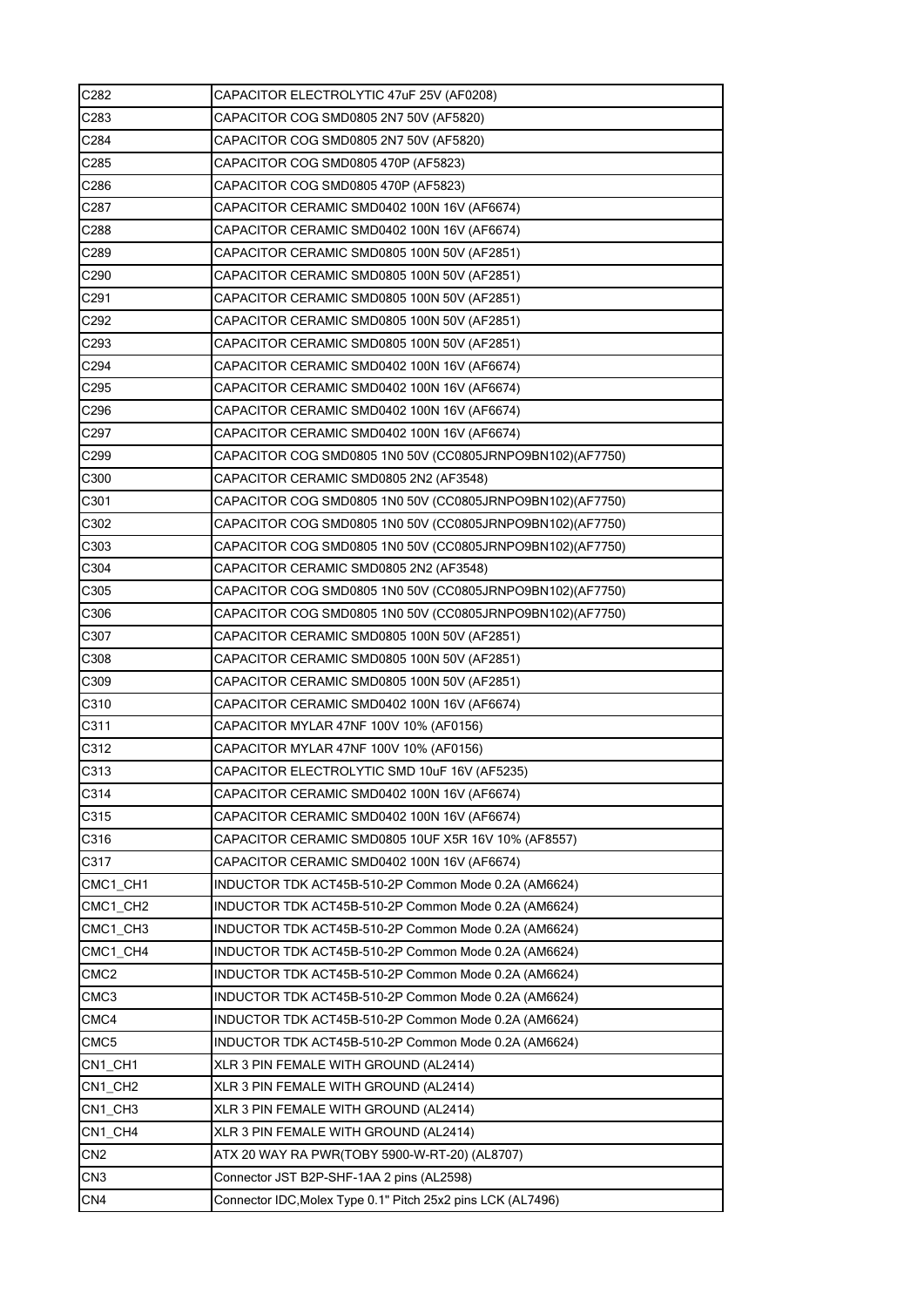| C282             | CAPACITOR ELECTROLYTIC 47uF 25V (AF0208)                    |
|------------------|-------------------------------------------------------------|
| C283             | CAPACITOR COG SMD0805 2N7 50V (AF5820)                      |
| C284             | CAPACITOR COG SMD0805 2N7 50V (AF5820)                      |
| C285             | CAPACITOR COG SMD0805 470P (AF5823)                         |
| C286             | CAPACITOR COG SMD0805 470P (AF5823)                         |
| C287             | CAPACITOR CERAMIC SMD0402 100N 16V (AF6674)                 |
| C288             | CAPACITOR CERAMIC SMD0402 100N 16V (AF6674)                 |
| C289             | CAPACITOR CERAMIC SMD0805 100N 50V (AF2851)                 |
| C290             | CAPACITOR CERAMIC SMD0805 100N 50V (AF2851)                 |
| C291             | CAPACITOR CERAMIC SMD0805 100N 50V (AF2851)                 |
| C292             | CAPACITOR CERAMIC SMD0805 100N 50V (AF2851)                 |
| C293             | CAPACITOR CERAMIC SMD0805 100N 50V (AF2851)                 |
| C294             | CAPACITOR CERAMIC SMD0402 100N 16V (AF6674)                 |
| C295             | CAPACITOR CERAMIC SMD0402 100N 16V (AF6674)                 |
| C296             | CAPACITOR CERAMIC SMD0402 100N 16V (AF6674)                 |
| C297             | CAPACITOR CERAMIC SMD0402 100N 16V (AF6674)                 |
| C299             | CAPACITOR COG SMD0805 1N0 50V (CC0805JRNPO9BN102)(AF7750)   |
| C300             | CAPACITOR CERAMIC SMD0805 2N2 (AF3548)                      |
| C301             | CAPACITOR COG SMD0805 1N0 50V (CC0805JRNPO9BN102)(AF7750)   |
| C302             | CAPACITOR COG SMD0805 1N0 50V (CC0805JRNPO9BN102)(AF7750)   |
| C303             | CAPACITOR COG SMD0805 1N0 50V (CC0805JRNPO9BN102)(AF7750)   |
| C304             | CAPACITOR CERAMIC SMD0805 2N2 (AF3548)                      |
| C305             | CAPACITOR COG SMD0805 1N0 50V (CC0805JRNPO9BN102)(AF7750)   |
| C306             | CAPACITOR COG SMD0805 1N0 50V (CC0805JRNPO9BN102)(AF7750)   |
| C307             | CAPACITOR CERAMIC SMD0805 100N 50V (AF2851)                 |
| C308             | CAPACITOR CERAMIC SMD0805 100N 50V (AF2851)                 |
| C309             | CAPACITOR CERAMIC SMD0805 100N 50V (AF2851)                 |
| C310             | CAPACITOR CERAMIC SMD0402 100N 16V (AF6674)                 |
| C311             | CAPACITOR MYLAR 47NF 100V 10% (AF0156)                      |
| C312             | CAPACITOR MYLAR 47NF 100V 10% (AF0156)                      |
| C313             | CAPACITOR ELECTROLYTIC SMD 10uF 16V (AF5235)                |
| C314             | CAPACITOR CERAMIC SMD0402 100N 16V (AF6674)                 |
| C315             | CAPACITOR CERAMIC SMD0402 100N 16V (AF6674)                 |
| C316             | CAPACITOR CERAMIC SMD0805 10UF X5R 16V 10% (AF8557)         |
| C317             | CAPACITOR CERAMIC SMD0402 100N 16V (AF6674)                 |
| CMC1_CH1         | INDUCTOR TDK ACT45B-510-2P Common Mode 0.2A (AM6624)        |
| CMC1 CH2         | INDUCTOR TDK ACT45B-510-2P Common Mode 0.2A (AM6624)        |
| CMC1_CH3         | INDUCTOR TDK ACT45B-510-2P Common Mode 0.2A (AM6624)        |
| CMC1 CH4         | INDUCTOR TDK ACT45B-510-2P Common Mode 0.2A (AM6624)        |
| CMC <sub>2</sub> | INDUCTOR TDK ACT45B-510-2P Common Mode 0.2A (AM6624)        |
| CMC3             | INDUCTOR TDK ACT45B-510-2P Common Mode 0.2A (AM6624)        |
| CMC4             | INDUCTOR TDK ACT45B-510-2P Common Mode 0.2A (AM6624)        |
| CMC5             | INDUCTOR TDK ACT45B-510-2P Common Mode 0.2A (AM6624)        |
| CN1_CH1          | XLR 3 PIN FEMALE WITH GROUND (AL2414)                       |
| CN1_CH2          | XLR 3 PIN FEMALE WITH GROUND (AL2414)                       |
| CN1_CH3          | XLR 3 PIN FEMALE WITH GROUND (AL2414)                       |
| CN1_CH4          | XLR 3 PIN FEMALE WITH GROUND (AL2414)                       |
| CN <sub>2</sub>  | ATX 20 WAY RA PWR(TOBY 5900-W-RT-20) (AL8707)               |
| CN3              | Connector JST B2P-SHF-1AA 2 pins (AL2598)                   |
| CN <sub>4</sub>  | Connector IDC, Molex Type 0.1" Pitch 25x2 pins LCK (AL7496) |
|                  |                                                             |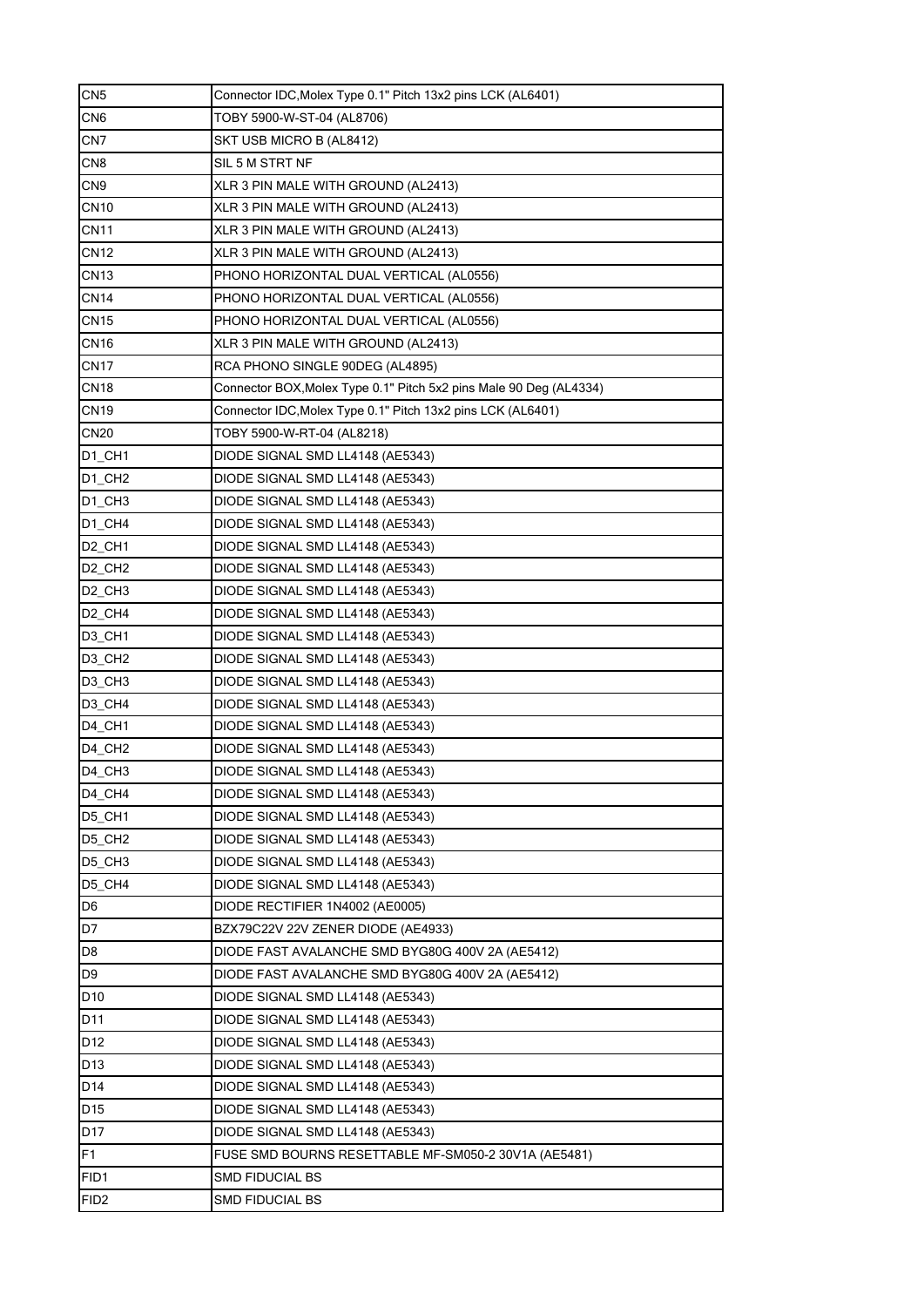| CN <sub>5</sub>                  | Connector IDC, Molex Type 0.1" Pitch 13x2 pins LCK (AL6401)        |
|----------------------------------|--------------------------------------------------------------------|
| CN <sub>6</sub>                  | TOBY 5900-W-ST-04 (AL8706)                                         |
| CN7                              | SKT USB MICRO B (AL8412)                                           |
| CN <sub>8</sub>                  | SIL 5 M STRT NF                                                    |
| CN <sub>9</sub>                  | XLR 3 PIN MALE WITH GROUND (AL2413)                                |
| <b>CN10</b>                      | XLR 3 PIN MALE WITH GROUND (AL2413)                                |
| <b>CN11</b>                      | XLR 3 PIN MALE WITH GROUND (AL2413)                                |
| <b>CN12</b>                      | XLR 3 PIN MALE WITH GROUND (AL2413)                                |
| <b>CN13</b>                      | PHONO HORIZONTAL DUAL VERTICAL (AL0556)                            |
| <b>CN14</b>                      | PHONO HORIZONTAL DUAL VERTICAL (AL0556)                            |
| <b>CN15</b>                      | PHONO HORIZONTAL DUAL VERTICAL (AL0556)                            |
| <b>CN16</b>                      | XLR 3 PIN MALE WITH GROUND (AL2413)                                |
| <b>CN17</b>                      | RCA PHONO SINGLE 90DEG (AL4895)                                    |
| <b>CN18</b>                      | Connector BOX, Molex Type 0.1" Pitch 5x2 pins Male 90 Deg (AL4334) |
| <b>CN19</b>                      | Connector IDC, Molex Type 0.1" Pitch 13x2 pins LCK (AL6401)        |
| <b>CN20</b>                      | TOBY 5900-W-RT-04 (AL8218)                                         |
| D <sub>1</sub> CH <sub>1</sub>   | DIODE SIGNAL SMD LL4148 (AE5343)                                   |
| D1 CH <sub>2</sub>               | DIODE SIGNAL SMD LL4148 (AE5343)                                   |
| $DI$ <sub><math>CH3</math></sub> | DIODE SIGNAL SMD LL4148 (AE5343)                                   |
| $D1$ <sub></sub> CH <sub>4</sub> | DIODE SIGNAL SMD LL4148 (AE5343)                                   |
| D <sub>2</sub> _CH <sub>1</sub>  | DIODE SIGNAL SMD LL4148 (AE5343)                                   |
| D <sub>2</sub> CH <sub>2</sub>   | DIODE SIGNAL SMD LL4148 (AE5343)                                   |
| D <sub>2</sub> CH <sub>3</sub>   | DIODE SIGNAL SMD LL4148 (AE5343)                                   |
| D <sub>2</sub> CH <sub>4</sub>   | DIODE SIGNAL SMD LL4148 (AE5343)                                   |
| D <sub>3</sub> _CH <sub>1</sub>  | DIODE SIGNAL SMD LL4148 (AE5343)                                   |
| D <sub>3</sub> _CH <sub>2</sub>  | DIODE SIGNAL SMD LL4148 (AE5343)                                   |
| D <sub>3</sub> CH <sub>3</sub>   | DIODE SIGNAL SMD LL4148 (AE5343)                                   |
| D3_CH4                           | DIODE SIGNAL SMD LL4148 (AE5343)                                   |
| D <sub>4</sub> _CH <sub>1</sub>  | DIODE SIGNAL SMD LL4148 (AE5343)                                   |
| D4 CH <sub>2</sub>               | DIODE SIGNAL SMD LL4148 (AE5343)                                   |
| D4_CH3                           | DIODE SIGNAL SMD LL4148 (AE5343)                                   |
| D4_CH4                           | DIODE SIGNAL SMD LL4148 (AE5343)                                   |
| D5_CH1                           | DIODE SIGNAL SMD LL4148 (AE5343)                                   |
| D5_CH2                           | DIODE SIGNAL SMD LL4148 (AE5343)                                   |
| D5 CH3                           | DIODE SIGNAL SMD LL4148 (AE5343)                                   |
| D5_CH4                           | DIODE SIGNAL SMD LL4148 (AE5343)                                   |
| D <sub>6</sub>                   | DIODE RECTIFIER 1N4002 (AE0005)                                    |
| D7                               | BZX79C22V 22V ZENER DIODE (AE4933)                                 |
| D8                               | DIODE FAST AVALANCHE SMD BYG80G 400V 2A (AE5412)                   |
| D9                               | DIODE FAST AVALANCHE SMD BYG80G 400V 2A (AE5412)                   |
| D <sub>10</sub>                  | DIODE SIGNAL SMD LL4148 (AE5343)                                   |
| D11                              | DIODE SIGNAL SMD LL4148 (AE5343)                                   |
| D <sub>12</sub>                  | DIODE SIGNAL SMD LL4148 (AE5343)                                   |
| D <sub>13</sub>                  | DIODE SIGNAL SMD LL4148 (AE5343)                                   |
| D <sub>14</sub>                  | DIODE SIGNAL SMD LL4148 (AE5343)                                   |
| D15                              | DIODE SIGNAL SMD LL4148 (AE5343)                                   |
| D17                              | DIODE SIGNAL SMD LL4148 (AE5343)                                   |
| F1                               | FUSE SMD BOURNS RESETTABLE MF-SM050-2 30V1A (AE5481)               |
| FID1                             | <b>SMD FIDUCIAL BS</b>                                             |
| FID <sub>2</sub>                 | SMD FIDUCIAL BS                                                    |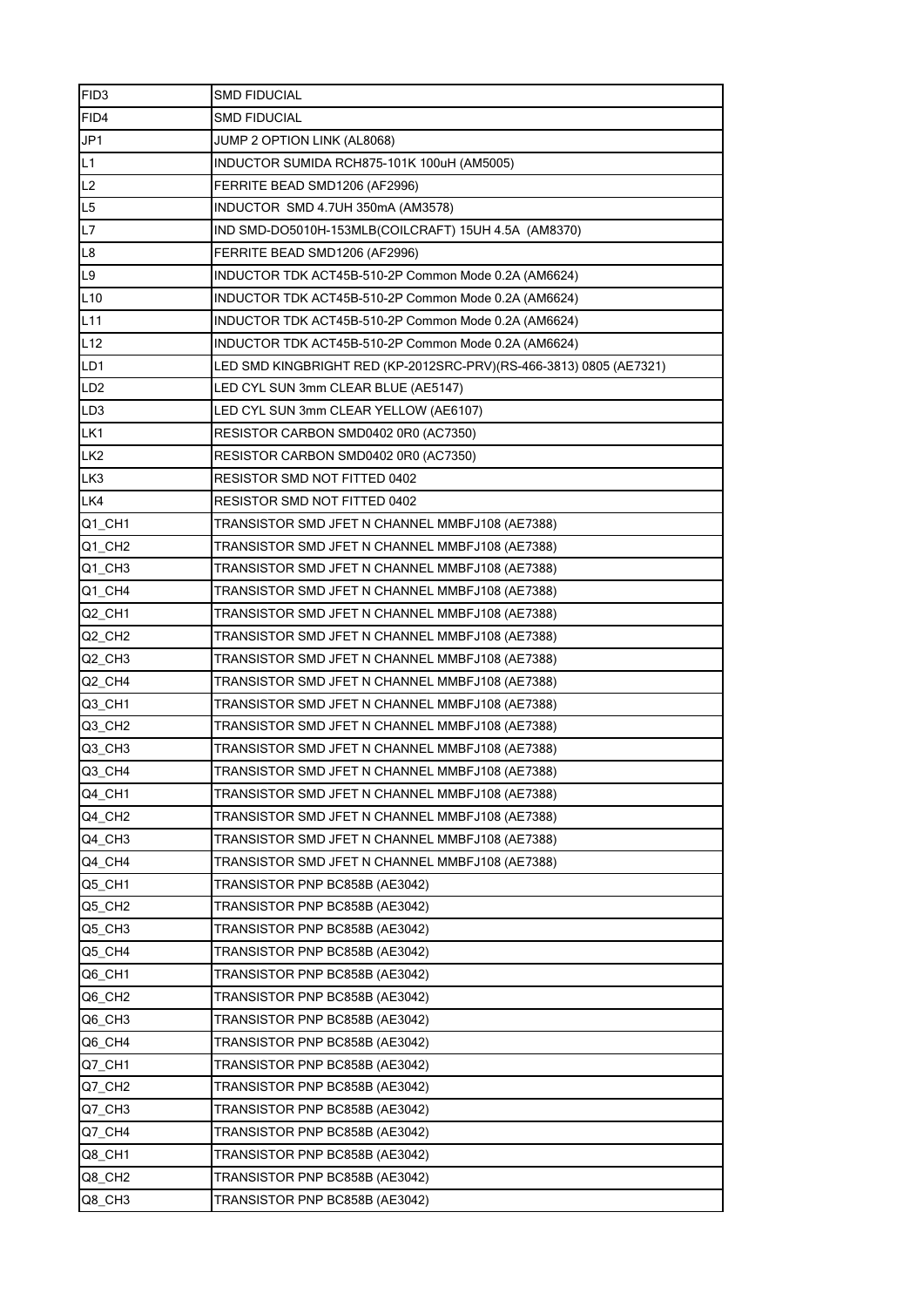| FID <sub>3</sub>       | SMD FIDUCIAL                                                       |
|------------------------|--------------------------------------------------------------------|
| FID4                   | <b>SMD FIDUCIAL</b>                                                |
| JP1                    | JUMP 2 OPTION LINK (AL8068)                                        |
| L1                     | INDUCTOR SUMIDA RCH875-101K 100uH (AM5005)                         |
| L2                     | FERRITE BEAD SMD1206 (AF2996)                                      |
| L5                     | INDUCTOR SMD 4.7UH 350mA (AM3578)                                  |
| L7                     | IND SMD-DO5010H-153MLB(COILCRAFT) 15UH 4.5A (AM8370)               |
| L8                     | FERRITE BEAD SMD1206 (AF2996)                                      |
| L9                     | INDUCTOR TDK ACT45B-510-2P Common Mode 0.2A (AM6624)               |
| L10                    | INDUCTOR TDK ACT45B-510-2P Common Mode 0.2A (AM6624)               |
| L <sub>11</sub>        | INDUCTOR TDK ACT45B-510-2P Common Mode 0.2A (AM6624)               |
| L12                    | INDUCTOR TDK ACT45B-510-2P Common Mode 0.2A (AM6624)               |
| LD1                    | LED SMD KINGBRIGHT RED (KP-2012SRC-PRV)(RS-466-3813) 0805 (AE7321) |
| LD <sub>2</sub>        | LED CYL SUN 3mm CLEAR BLUE (AE5147)                                |
| LD <sub>3</sub>        | LED CYL SUN 3mm CLEAR YELLOW (AE6107)                              |
| LK1                    | RESISTOR CARBON SMD0402 0R0 (AC7350)                               |
| LK <sub>2</sub>        | RESISTOR CARBON SMD0402 0R0 (AC7350)                               |
| LK <sub>3</sub>        | RESISTOR SMD NOT FITTED 0402                                       |
| LK4                    | RESISTOR SMD NOT FITTED 0402                                       |
| Q1 CH1                 | TRANSISTOR SMD JFET N CHANNEL MMBFJ108 (AE7388)                    |
| $Q1$ <sub></sub> $CH2$ | TRANSISTOR SMD JFET N CHANNEL MMBFJ108 (AE7388)                    |
| $Q1$ <sub></sub> $CH3$ | TRANSISTOR SMD JFET N CHANNEL MMBFJ108 (AE7388)                    |
| Q1_CH4                 | TRANSISTOR SMD JFET N CHANNEL MMBFJ108 (AE7388)                    |
| Q2 CH1                 | TRANSISTOR SMD JFET N CHANNEL MMBFJ108 (AE7388)                    |
| Q2_CH2                 | TRANSISTOR SMD JFET N CHANNEL MMBFJ108 (AE7388)                    |
| $Q2$ <sub>CH3</sub>    | TRANSISTOR SMD JFET N CHANNEL MMBFJ108 (AE7388)                    |
| Q2 CH4                 | TRANSISTOR SMD JFET N CHANNEL MMBFJ108 (AE7388)                    |
| Q3_CH1                 | TRANSISTOR SMD JFET N CHANNEL MMBFJ108 (AE7388)                    |
| $Q3$ <sub>CH2</sub>    | TRANSISTOR SMD JFET N CHANNEL MMBFJ108 (AE7388)                    |
| Q3_CH3                 | TRANSISTOR SMD JFET N CHANNEL MMBFJ108 (AE7388)                    |
| Q3 CH4                 | TRANSISTOR SMD JFET N CHANNEL MMBFJ108 (AE7388)                    |
| Q4_CH1                 | TRANSISTOR SMD JFET N CHANNEL MMBFJ108 (AE7388)                    |
| Q4_CH2                 | TRANSISTOR SMD JFET N CHANNEL MMBFJ108 (AE7388)                    |
| Q4_CH3                 | TRANSISTOR SMD JFET N CHANNEL MMBFJ108 (AE7388)                    |
| Q4_CH4                 | TRANSISTOR SMD JFET N CHANNEL MMBFJ108 (AE7388)                    |
| Q5_CH1                 | TRANSISTOR PNP BC858B (AE3042)                                     |
| Q5_CH2                 | TRANSISTOR PNP BC858B (AE3042)                                     |
| Q5_CH3                 | TRANSISTOR PNP BC858B (AE3042)                                     |
| Q5_CH4                 | TRANSISTOR PNP BC858B (AE3042)                                     |
| Q6_CH1                 | TRANSISTOR PNP BC858B (AE3042)                                     |
| Q6_CH2                 | TRANSISTOR PNP BC858B (AE3042)                                     |
| Q6_CH3                 | TRANSISTOR PNP BC858B (AE3042)                                     |
| Q6_CH4                 | TRANSISTOR PNP BC858B (AE3042)                                     |
| Q7_CH1                 | TRANSISTOR PNP BC858B (AE3042)                                     |
| Q7_CH2                 | TRANSISTOR PNP BC858B (AE3042)                                     |
| Q7_CH3                 | TRANSISTOR PNP BC858B (AE3042)                                     |
| Q7_CH4                 | TRANSISTOR PNP BC858B (AE3042)                                     |
| Q8_CH1                 | TRANSISTOR PNP BC858B (AE3042)                                     |
| Q8_CH2                 | TRANSISTOR PNP BC858B (AE3042)                                     |
| Q8_CH3                 | TRANSISTOR PNP BC858B (AE3042)                                     |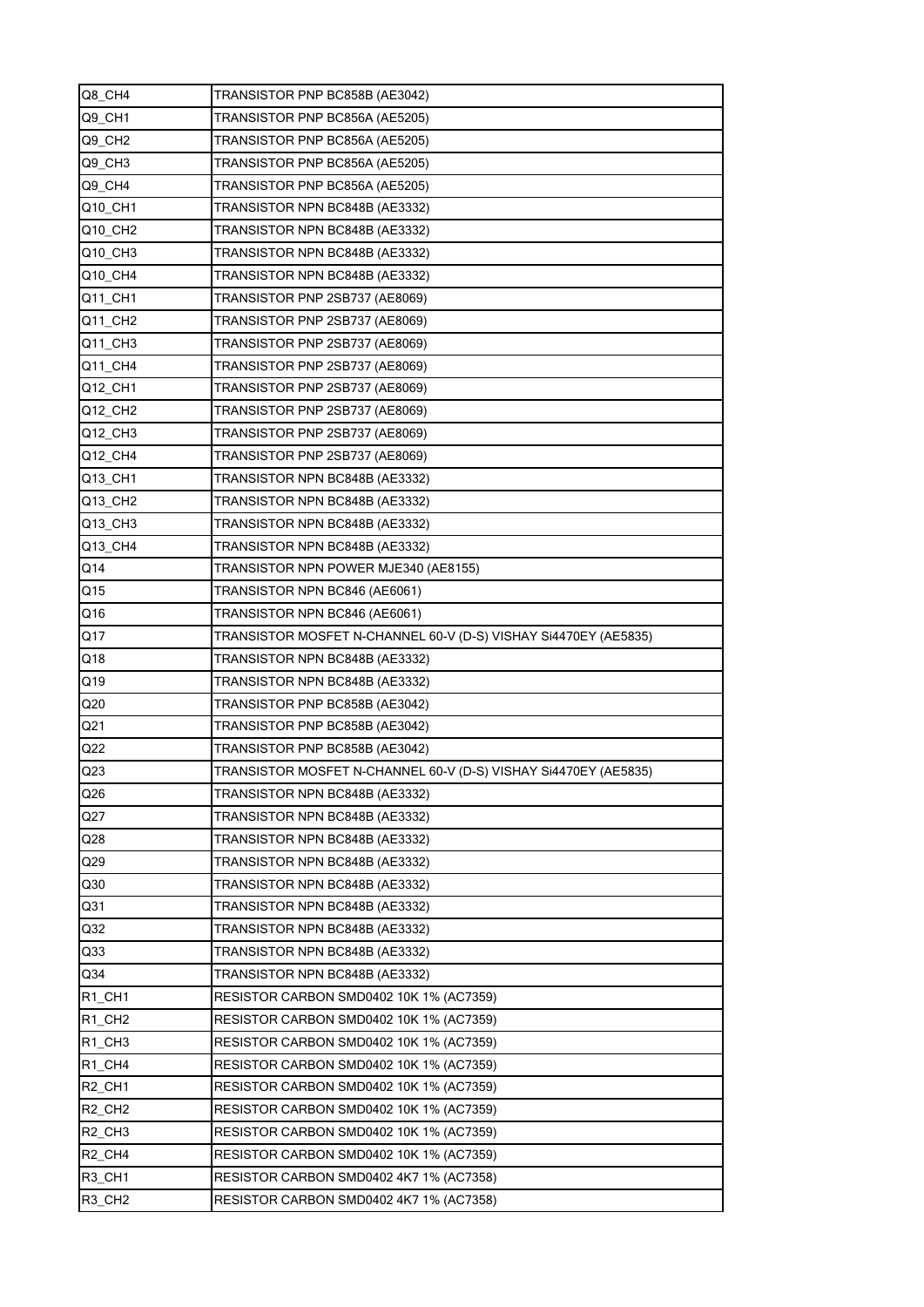| Q8 CH4                         | TRANSISTOR PNP BC858B (AE3042)                                  |
|--------------------------------|-----------------------------------------------------------------|
| Q9_CH1                         | TRANSISTOR PNP BC856A (AE5205)                                  |
| Q9_CH2                         | TRANSISTOR PNP BC856A (AE5205)                                  |
| Q9_CH3                         | TRANSISTOR PNP BC856A (AE5205)                                  |
| Q9_CH4                         | TRANSISTOR PNP BC856A (AE5205)                                  |
| Q10_CH1                        | TRANSISTOR NPN BC848B (AE3332)                                  |
| Q10_CH2                        | TRANSISTOR NPN BC848B (AE3332)                                  |
| Q10_CH3                        | TRANSISTOR NPN BC848B (AE3332)                                  |
| Q10 CH4                        | TRANSISTOR NPN BC848B (AE3332)                                  |
| Q11_CH1                        | TRANSISTOR PNP 2SB737 (AE8069)                                  |
| Q11_CH2                        | TRANSISTOR PNP 2SB737 (AE8069)                                  |
| Q11_CH3                        | TRANSISTOR PNP 2SB737 (AE8069)                                  |
| Q11_CH4                        | TRANSISTOR PNP 2SB737 (AE8069)                                  |
| Q12_CH1                        | TRANSISTOR PNP 2SB737 (AE8069)                                  |
| Q12_CH2                        | TRANSISTOR PNP 2SB737 (AE8069)                                  |
| Q12_CH3                        | TRANSISTOR PNP 2SB737 (AE8069)                                  |
| Q12_CH4                        | TRANSISTOR PNP 2SB737 (AE8069)                                  |
| Q13_CH1                        | TRANSISTOR NPN BC848B (AE3332)                                  |
| Q13_CH2                        | TRANSISTOR NPN BC848B (AE3332)                                  |
| Q13_CH3                        | TRANSISTOR NPN BC848B (AE3332)                                  |
| Q13_CH4                        | TRANSISTOR NPN BC848B (AE3332)                                  |
| Q14                            | TRANSISTOR NPN POWER MJE340 (AE8155)                            |
| Q15                            | TRANSISTOR NPN BC846 (AE6061)                                   |
| Q16                            | TRANSISTOR NPN BC846 (AE6061)                                   |
| Q17                            | TRANSISTOR MOSFET N-CHANNEL 60-V (D-S) VISHAY Si4470EY (AE5835) |
| Q18                            | TRANSISTOR NPN BC848B (AE3332)                                  |
| Q19                            | TRANSISTOR NPN BC848B (AE3332)                                  |
| Q20                            | TRANSISTOR PNP BC858B (AE3042)                                  |
| Q21                            | TRANSISTOR PNP BC858B (AE3042)                                  |
| Q22                            | TRANSISTOR PNP BC858B (AE3042)                                  |
| Q <sub>23</sub>                | TRANSISTOR MOSFET N-CHANNEL 60-V (D-S) VISHAY Si4470EY (AE5835) |
| Q26                            | TRANSISTOR NPN BC848B (AE3332)                                  |
| Q27                            | TRANSISTOR NPN BC848B (AE3332)                                  |
| Q28                            | TRANSISTOR NPN BC848B (AE3332)                                  |
| Q29                            | TRANSISTOR NPN BC848B (AE3332)                                  |
| Q30                            | TRANSISTOR NPN BC848B (AE3332)                                  |
| Q31                            | TRANSISTOR NPN BC848B (AE3332)                                  |
| Q32                            | TRANSISTOR NPN BC848B (AE3332)                                  |
| Q <sub>33</sub>                | TRANSISTOR NPN BC848B (AE3332)                                  |
| Q <sub>34</sub>                | TRANSISTOR NPN BC848B (AE3332)                                  |
| R <sub>1</sub> CH <sub>1</sub> | RESISTOR CARBON SMD0402 10K 1% (AC7359)                         |
| R <sub>1</sub> CH <sub>2</sub> | RESISTOR CARBON SMD0402 10K 1% (AC7359)                         |
| R <sub>1</sub> CH <sub>3</sub> | RESISTOR CARBON SMD0402 10K 1% (AC7359)                         |
| R <sub>1</sub> CH <sub>4</sub> | RESISTOR CARBON SMD0402 10K 1% (AC7359)                         |
| R <sub>2</sub> CH <sub>1</sub> | RESISTOR CARBON SMD0402 10K 1% (AC7359)                         |
| R <sub>2</sub> CH <sub>2</sub> | RESISTOR CARBON SMD0402 10K 1% (AC7359)                         |
| R <sub>2</sub> CH <sub>3</sub> | RESISTOR CARBON SMD0402 10K 1% (AC7359)                         |
| R <sub>2</sub> CH <sub>4</sub> | RESISTOR CARBON SMD0402 10K 1% (AC7359)                         |
| R3 CH1                         | RESISTOR CARBON SMD0402 4K7 1% (AC7358)                         |
|                                |                                                                 |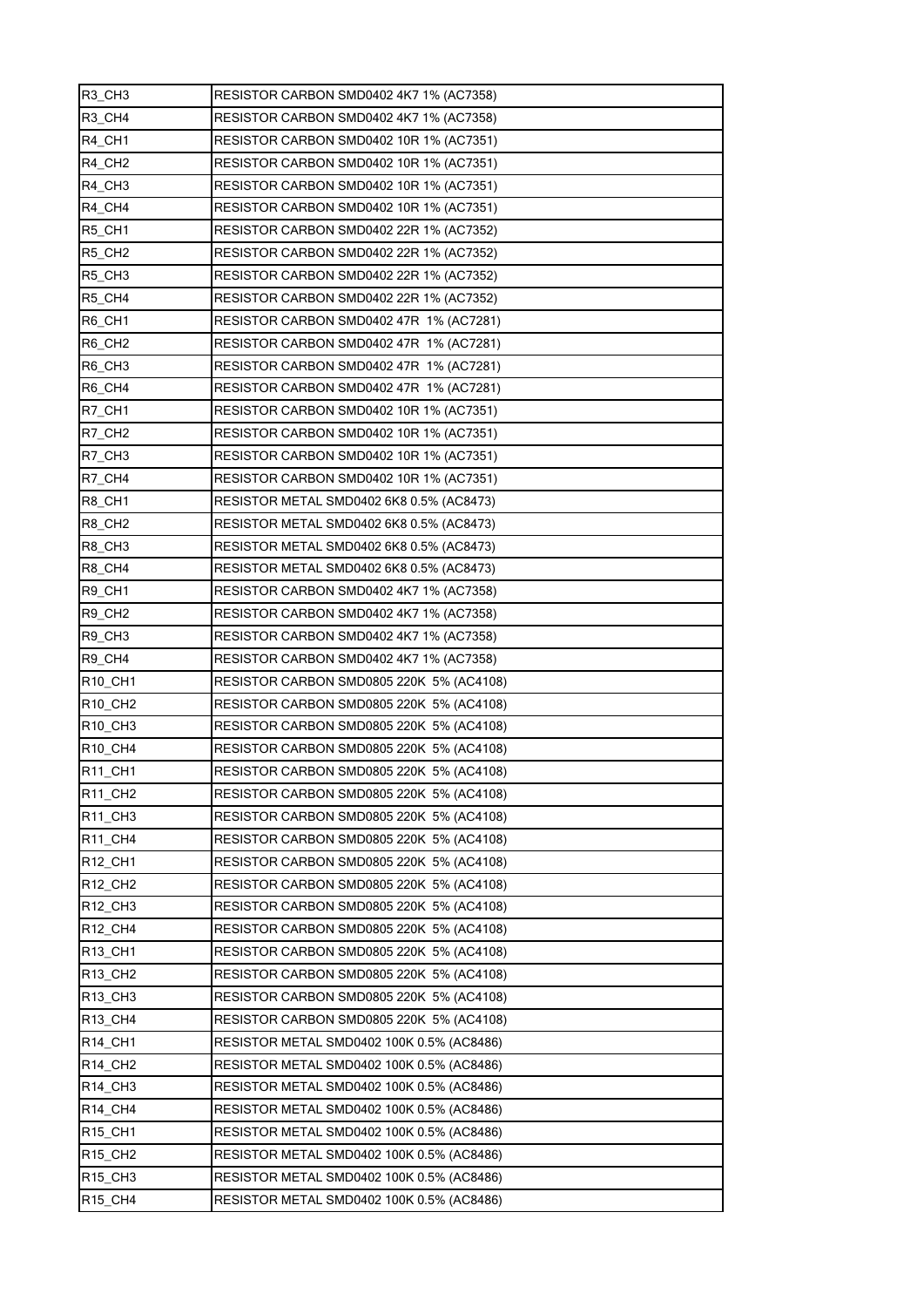| R3_CH3                           | RESISTOR CARBON SMD0402 4K7 1% (AC7358)   |
|----------------------------------|-------------------------------------------|
| R3_CH4                           | RESISTOR CARBON SMD0402 4K7 1% (AC7358)   |
| R4_CH1                           | RESISTOR CARBON SMD0402 10R 1% (AC7351)   |
| R4 CH <sub>2</sub>               | RESISTOR CARBON SMD0402 10R 1% (AC7351)   |
| R4 CH3                           | RESISTOR CARBON SMD0402 10R 1% (AC7351)   |
| R4_CH4                           | RESISTOR CARBON SMD0402 10R 1% (AC7351)   |
| R5_CH1                           | RESISTOR CARBON SMD0402 22R 1% (AC7352)   |
| R5_CH2                           | RESISTOR CARBON SMD0402 22R 1% (AC7352)   |
| R5 CH3                           | RESISTOR CARBON SMD0402 22R 1% (AC7352)   |
| R5_CH4                           | RESISTOR CARBON SMD0402 22R 1% (AC7352)   |
| R6_CH1                           | RESISTOR CARBON SMD0402 47R 1% (AC7281)   |
| R6_CH <sub>2</sub>               | RESISTOR CARBON SMD0402 47R 1% (AC7281)   |
| R6_CH3                           | RESISTOR CARBON SMD0402 47R 1% (AC7281)   |
| R6_CH4                           | RESISTOR CARBON SMD0402 47R 1% (AC7281)   |
| R7_CH1                           | RESISTOR CARBON SMD0402 10R 1% (AC7351)   |
| <b>R7_CH2</b>                    | RESISTOR CARBON SMD0402 10R 1% (AC7351)   |
| R7_CH3                           | RESISTOR CARBON SMD0402 10R 1% (AC7351)   |
| R7_CH4                           | RESISTOR CARBON SMD0402 10R 1% (AC7351)   |
| R8_CH1                           | RESISTOR METAL SMD0402 6K8 0.5% (AC8473)  |
| R8_CH2                           | RESISTOR METAL SMD0402 6K8 0.5% (AC8473)  |
| R8_CH3                           | RESISTOR METAL SMD0402 6K8 0.5% (AC8473)  |
| R8_CH4                           | RESISTOR METAL SMD0402 6K8 0.5% (AC8473)  |
| R9 CH1                           | RESISTOR CARBON SMD0402 4K7 1% (AC7358)   |
| R9_CH2                           | RESISTOR CARBON SMD0402 4K7 1% (AC7358)   |
| R9_CH3                           | RESISTOR CARBON SMD0402 4K7 1% (AC7358)   |
| R9_CH4                           | RESISTOR CARBON SMD0402 4K7 1% (AC7358)   |
| R10_CH1                          | RESISTOR CARBON SMD0805 220K 5% (AC4108)  |
| R <sub>10</sub> _CH <sub>2</sub> | RESISTOR CARBON SMD0805 220K 5% (AC4108)  |
| R10_CH3                          | RESISTOR CARBON SMD0805 220K 5% (AC4108)  |
| R <sub>10</sub> CH <sub>4</sub>  | RESISTOR CARBON SMD0805 220K 5% (AC4108)  |
| <b>R11 CH1</b>                   | RESISTOR CARBON SMD0805 220K 5% (AC4108)  |
| R11_CH2                          | RESISTOR CARBON SMD0805 220K 5% (AC4108)  |
| <b>R11 CH3</b>                   | RESISTOR CARBON SMD0805 220K 5% (AC4108)  |
| R11_CH4                          | RESISTOR CARBON SMD0805 220K 5% (AC4108)  |
| R <sub>12</sub> CH <sub>1</sub>  | RESISTOR CARBON SMD0805 220K 5% (AC4108)  |
| R12_CH2                          | RESISTOR CARBON SMD0805 220K 5% (AC4108)  |
| R <sub>12</sub> _CH <sub>3</sub> | RESISTOR CARBON SMD0805 220K 5% (AC4108)  |
| R12 CH4                          | RESISTOR CARBON SMD0805 220K 5% (AC4108)  |
| R13_CH1                          | RESISTOR CARBON SMD0805 220K 5% (AC4108)  |
| R13_CH2                          | RESISTOR CARBON SMD0805 220K 5% (AC4108)  |
| R13_CH3                          | RESISTOR CARBON SMD0805 220K 5% (AC4108)  |
| R <sub>13</sub> _CH4             | RESISTOR CARBON SMD0805 220K 5% (AC4108)  |
| <b>R14 CH1</b>                   | RESISTOR METAL SMD0402 100K 0.5% (AC8486) |
| R14_CH2                          | RESISTOR METAL SMD0402 100K 0.5% (AC8486) |
| R <sub>14</sub> _CH <sub>3</sub> | RESISTOR METAL SMD0402 100K 0.5% (AC8486) |
| R <sub>14_CH4</sub>              | RESISTOR METAL SMD0402 100K 0.5% (AC8486) |
| R <sub>15</sub> _CH <sub>1</sub> | RESISTOR METAL SMD0402 100K 0.5% (AC8486) |
| R <sub>15</sub> _CH <sub>2</sub> | RESISTOR METAL SMD0402 100K 0.5% (AC8486) |
| R <sub>15</sub> _CH <sub>3</sub> | RESISTOR METAL SMD0402 100K 0.5% (AC8486) |
| R15_CH4                          | RESISTOR METAL SMD0402 100K 0.5% (AC8486) |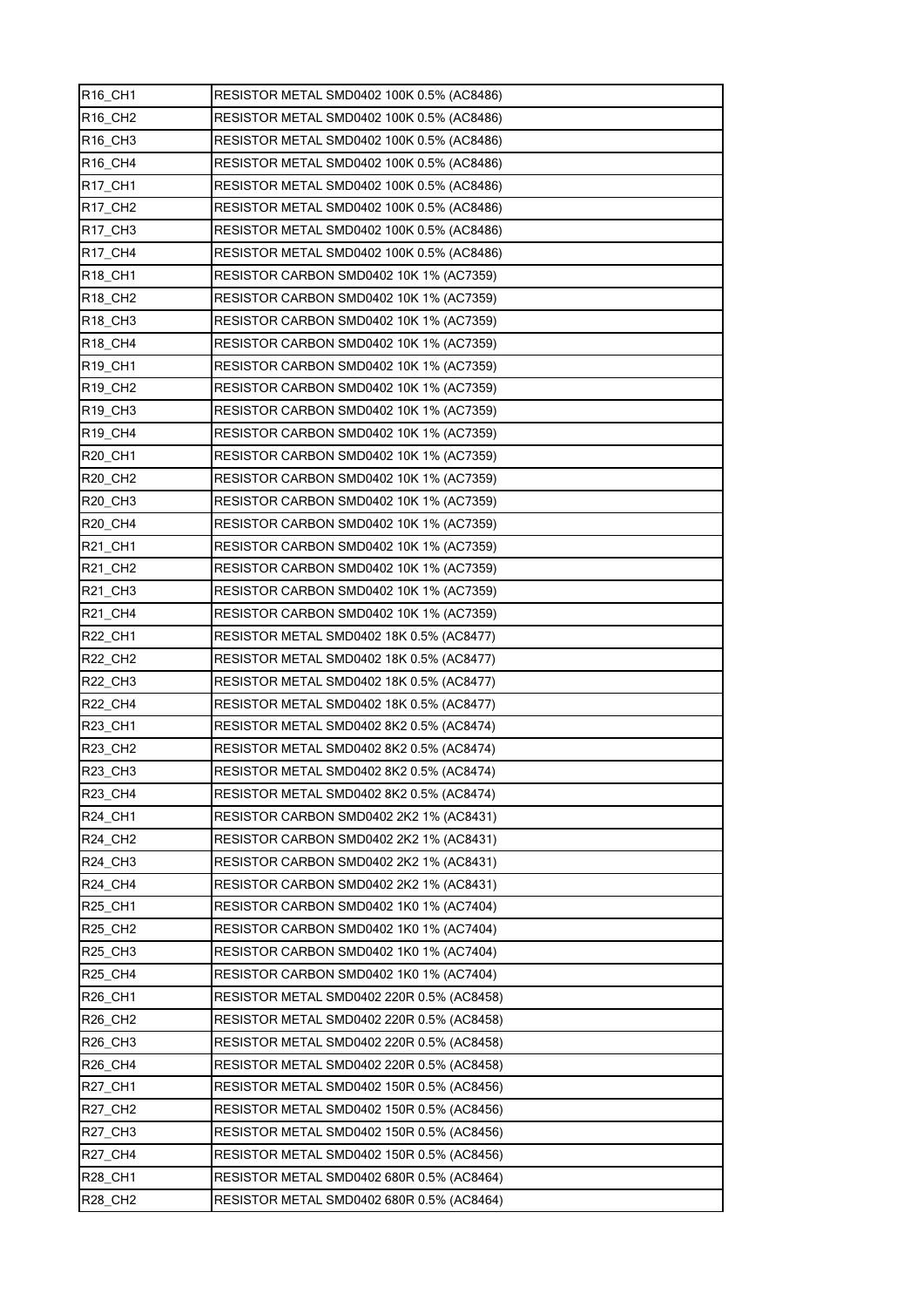| R16_CH1                          | RESISTOR METAL SMD0402 100K 0.5% (AC8486) |
|----------------------------------|-------------------------------------------|
| R16_CH2                          | RESISTOR METAL SMD0402 100K 0.5% (AC8486) |
| R <sub>16</sub> CH <sub>3</sub>  | RESISTOR METAL SMD0402 100K 0.5% (AC8486) |
| R <sub>16</sub> _CH4             | RESISTOR METAL SMD0402 100K 0.5% (AC8486) |
| R17_CH1                          | RESISTOR METAL SMD0402 100K 0.5% (AC8486) |
| R17_CH2                          | RESISTOR METAL SMD0402 100K 0.5% (AC8486) |
| R <sub>17</sub> _CH <sub>3</sub> | RESISTOR METAL SMD0402 100K 0.5% (AC8486) |
| R17_CH4                          | RESISTOR METAL SMD0402 100K 0.5% (AC8486) |
| R18_CH1                          | RESISTOR CARBON SMD0402 10K 1% (AC7359)   |
| <b>R18 CH2</b>                   | RESISTOR CARBON SMD0402 10K 1% (AC7359)   |
| R <sub>18</sub> _CH <sub>3</sub> | RESISTOR CARBON SMD0402 10K 1% (AC7359)   |
| R18_CH4                          | RESISTOR CARBON SMD0402 10K 1% (AC7359)   |
| R <sub>19</sub> _CH <sub>1</sub> | RESISTOR CARBON SMD0402 10K 1% (AC7359)   |
| R <sub>19</sub> _CH <sub>2</sub> | RESISTOR CARBON SMD0402 10K 1% (AC7359)   |
| R <sub>19</sub> CH <sub>3</sub>  | RESISTOR CARBON SMD0402 10K 1% (AC7359)   |
| <b>R19 CH4</b>                   | RESISTOR CARBON SMD0402 10K 1% (AC7359)   |
| R20_CH1                          | RESISTOR CARBON SMD0402 10K 1% (AC7359)   |
| R20_CH2                          | RESISTOR CARBON SMD0402 10K 1% (AC7359)   |
| <b>R20 CH3</b>                   | RESISTOR CARBON SMD0402 10K 1% (AC7359)   |
| R20_CH4                          | RESISTOR CARBON SMD0402 10K 1% (AC7359)   |
| R21_CH1                          | RESISTOR CARBON SMD0402 10K 1% (AC7359)   |
| R21_CH2                          | RESISTOR CARBON SMD0402 10K 1% (AC7359)   |
| R21 CH3                          | RESISTOR CARBON SMD0402 10K 1% (AC7359)   |
| R21_CH4                          | RESISTOR CARBON SMD0402 10K 1% (AC7359)   |
| R22_CH1                          | RESISTOR METAL SMD0402 18K 0.5% (AC8477)  |
| <b>R22_CH2</b>                   | RESISTOR METAL SMD0402 18K 0.5% (AC8477)  |
| <b>R22 CH3</b>                   | RESISTOR METAL SMD0402 18K 0.5% (AC8477)  |
| <b>R22 CH4</b>                   | RESISTOR METAL SMD0402 18K 0.5% (AC8477)  |
| <b>R23 CH1</b>                   | RESISTOR METAL SMD0402 8K2 0.5% (AC8474)  |
| R23_CH2                          | RESISTOR METAL SMD0402 8K2 0.5% (AC8474)  |
| <b>R23 CH3</b>                   | RESISTOR METAL SMD0402 8K2 0.5% (AC8474)  |
| R23_CH4                          | RESISTOR METAL SMD0402 8K2 0.5% (AC8474)  |
| R24_CH1                          | RESISTOR CARBON SMD0402 2K2 1% (AC8431)   |
| R24_CH2                          | RESISTOR CARBON SMD0402 2K2 1% (AC8431)   |
| R24 CH3                          | RESISTOR CARBON SMD0402 2K2 1% (AC8431)   |
| R24_CH4                          | RESISTOR CARBON SMD0402 2K2 1% (AC8431)   |
| <b>R25_CH1</b>                   | RESISTOR CARBON SMD0402 1K0 1% (AC7404)   |
| R25_CH2                          | RESISTOR CARBON SMD0402 1K0 1% (AC7404)   |
| R25_CH3                          | RESISTOR CARBON SMD0402 1K0 1% (AC7404)   |
| R25_CH4                          | RESISTOR CARBON SMD0402 1K0 1% (AC7404)   |
| R26_CH1                          | RESISTOR METAL SMD0402 220R 0.5% (AC8458) |
| <b>R26 CH2</b>                   | RESISTOR METAL SMD0402 220R 0.5% (AC8458) |
| R26_CH3                          | RESISTOR METAL SMD0402 220R 0.5% (AC8458) |
| R26_CH4                          | RESISTOR METAL SMD0402 220R 0.5% (AC8458) |
| <b>R27_CH1</b>                   | RESISTOR METAL SMD0402 150R 0.5% (AC8456) |
| R27_CH2                          | RESISTOR METAL SMD0402 150R 0.5% (AC8456) |
| R27_CH3                          | RESISTOR METAL SMD0402 150R 0.5% (AC8456) |
| R27_CH4                          | RESISTOR METAL SMD0402 150R 0.5% (AC8456) |
| R28_CH1                          | RESISTOR METAL SMD0402 680R 0.5% (AC8464) |
| <b>R28_CH2</b>                   | RESISTOR METAL SMD0402 680R 0.5% (AC8464) |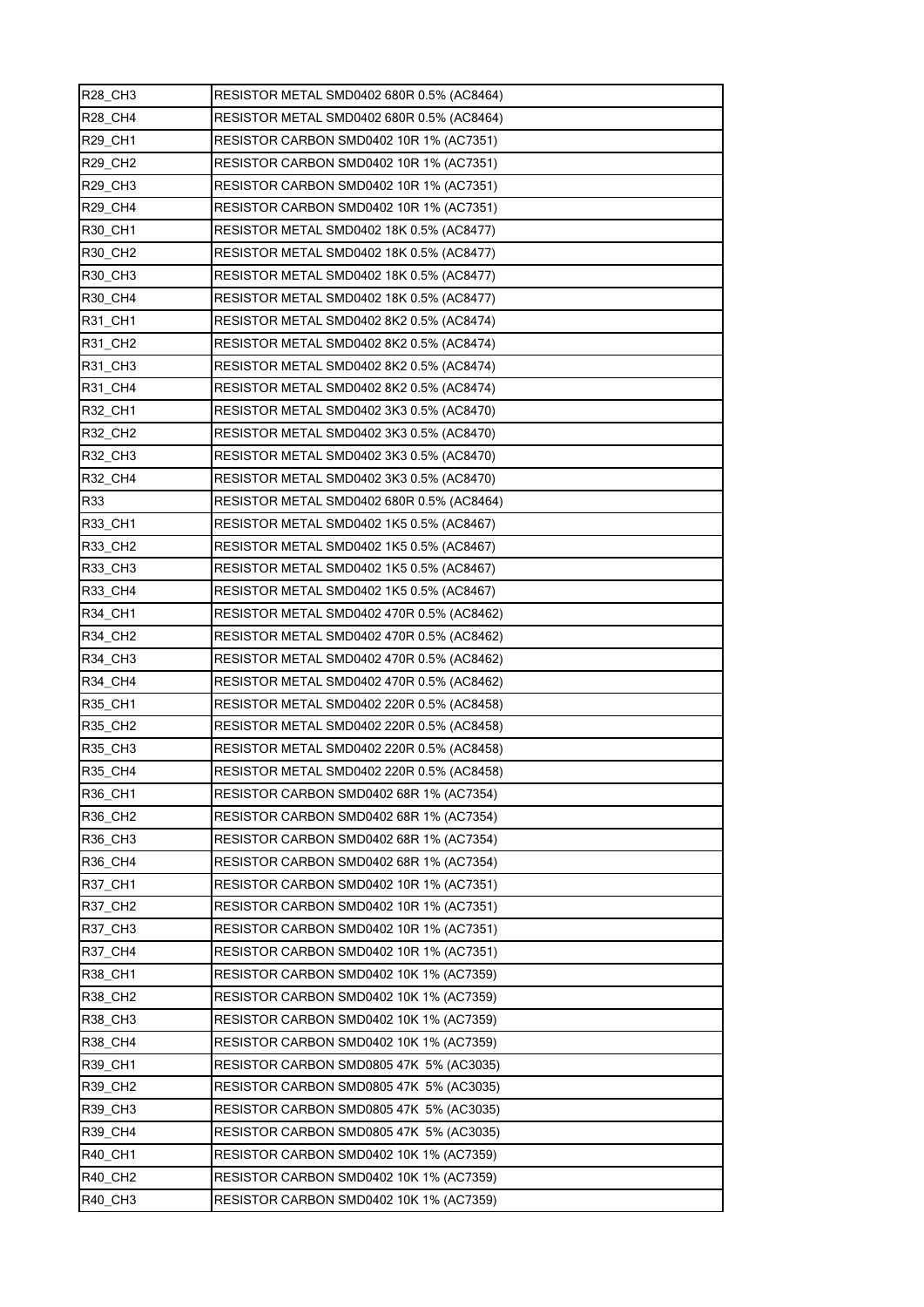| R28_CH3             | RESISTOR METAL SMD0402 680R 0.5% (AC8464) |
|---------------------|-------------------------------------------|
| <b>R28_CH4</b>      | RESISTOR METAL SMD0402 680R 0.5% (AC8464) |
| R29_CH1             | RESISTOR CARBON SMD0402 10R 1% (AC7351)   |
| R29_CH2             | RESISTOR CARBON SMD0402 10R 1% (AC7351)   |
| <b>R29 CH3</b>      | RESISTOR CARBON SMD0402 10R 1% (AC7351)   |
| R29_CH4             | RESISTOR CARBON SMD0402 10R 1% (AC7351)   |
| R30_CH1             | RESISTOR METAL SMD0402 18K 0.5% (AC8477)  |
| R30_CH2             | RESISTOR METAL SMD0402 18K 0.5% (AC8477)  |
| R30 CH3             | RESISTOR METAL SMD0402 18K 0.5% (AC8477)  |
| R30_CH4             | RESISTOR METAL SMD0402 18K 0.5% (AC8477)  |
| R31_CH1             | RESISTOR METAL SMD0402 8K2 0.5% (AC8474)  |
| R31_CH2             | RESISTOR METAL SMD0402 8K2 0.5% (AC8474)  |
| R31_CH3             | RESISTOR METAL SMD0402 8K2 0.5% (AC8474)  |
| <b>R31 CH4</b>      | RESISTOR METAL SMD0402 8K2 0.5% (AC8474)  |
| R32_CH1             | RESISTOR METAL SMD0402 3K3 0.5% (AC8470)  |
| R32 CH <sub>2</sub> | RESISTOR METAL SMD0402 3K3 0.5% (AC8470)  |
| R32_CH3             | RESISTOR METAL SMD0402 3K3 0.5% (AC8470)  |
| <b>R32 CH4</b>      | RESISTOR METAL SMD0402 3K3 0.5% (AC8470)  |
| R33                 | RESISTOR METAL SMD0402 680R 0.5% (AC8464) |
| R33_CH1             | RESISTOR METAL SMD0402 1K5 0.5% (AC8467)  |
| R33_CH2             | RESISTOR METAL SMD0402 1K5 0.5% (AC8467)  |
| R33_CH3             | RESISTOR METAL SMD0402 1K5 0.5% (AC8467)  |
| R33 CH4             | RESISTOR METAL SMD0402 1K5 0.5% (AC8467)  |
| <b>R34 CH1</b>      | RESISTOR METAL SMD0402 470R 0.5% (AC8462) |
| R34_CH2             | RESISTOR METAL SMD0402 470R 0.5% (AC8462) |
| R34_CH3             | RESISTOR METAL SMD0402 470R 0.5% (AC8462) |
| R34_CH4             | RESISTOR METAL SMD0402 470R 0.5% (AC8462) |
| R35_CH1             | RESISTOR METAL SMD0402 220R 0.5% (AC8458) |
| R35_CH2             | RESISTOR METAL SMD0402 220R 0.5% (AC8458) |
| <b>R35 CH3</b>      | RESISTOR METAL SMD0402 220R 0.5% (AC8458) |
| R35 CH4             | RESISTOR METAL SMD0402 220R 0.5% (AC8458) |
| R36_CH1             | RESISTOR CARBON SMD0402 68R 1% (AC7354)   |
| R36 CH2             | RESISTOR CARBON SMD0402 68R 1% (AC7354)   |
| R36_CH3             | RESISTOR CARBON SMD0402 68R 1% (AC7354)   |
| R36 CH4             | RESISTOR CARBON SMD0402 68R 1% (AC7354)   |
| R37_CH1             | RESISTOR CARBON SMD0402 10R 1% (AC7351)   |
| <b>R37 CH2</b>      | RESISTOR CARBON SMD0402 10R 1% (AC7351)   |
| R37_CH3             | RESISTOR CARBON SMD0402 10R 1% (AC7351)   |
| R37_CH4             | RESISTOR CARBON SMD0402 10R 1% (AC7351)   |
| R38_CH1             | RESISTOR CARBON SMD0402 10K 1% (AC7359)   |
| R38_CH2             | RESISTOR CARBON SMD0402 10K 1% (AC7359)   |
| <b>R38 CH3</b>      | RESISTOR CARBON SMD0402 10K 1% (AC7359)   |
| R38_CH4             | RESISTOR CARBON SMD0402 10K 1% (AC7359)   |
| R39_CH1             | RESISTOR CARBON SMD0805 47K 5% (AC3035)   |
| R39_CH2             | RESISTOR CARBON SMD0805 47K 5% (AC3035)   |
| R39_CH3             | RESISTOR CARBON SMD0805 47K 5% (AC3035)   |
| R39 CH4             | RESISTOR CARBON SMD0805 47K_5% (AC3035)   |
| R40_CH1             | RESISTOR CARBON SMD0402 10K 1% (AC7359)   |
| <b>R40 CH2</b>      | RESISTOR CARBON SMD0402 10K 1% (AC7359)   |
| R40_CH3             | RESISTOR CARBON SMD0402 10K 1% (AC7359)   |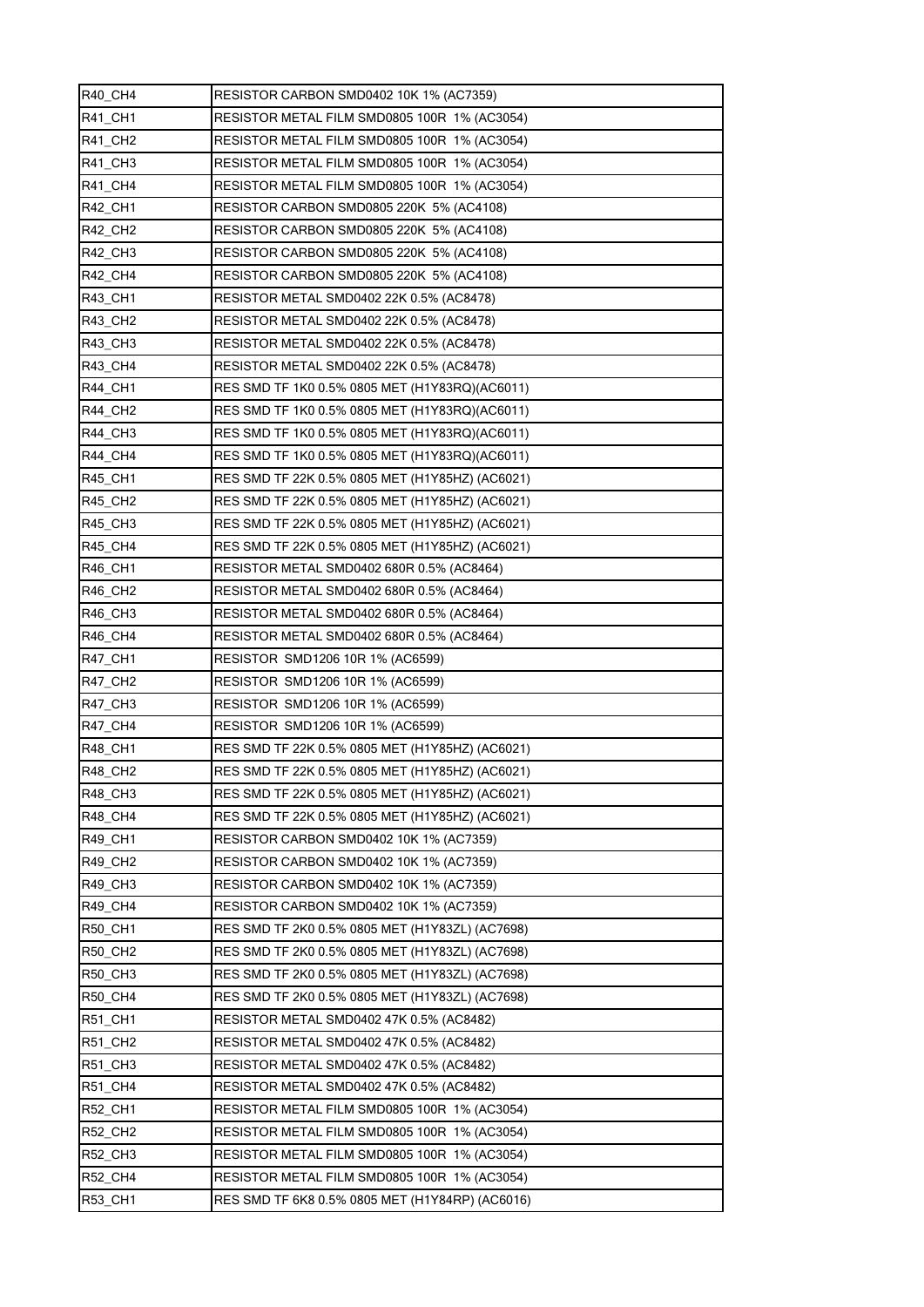| R40 CH4             | RESISTOR CARBON SMD0402 10K 1% (AC7359)         |
|---------------------|-------------------------------------------------|
| <b>R41 CH1</b>      | RESISTOR METAL FILM SMD0805 100R 1% (AC3054)    |
| R41_CH2             | RESISTOR METAL FILM SMD0805 100R 1% (AC3054)    |
| R41_CH3             | RESISTOR METAL FILM SMD0805 100R 1% (AC3054)    |
| <b>R41 CH4</b>      | RESISTOR METAL FILM SMD0805 100R 1% (AC3054)    |
| R42 CH1             | RESISTOR CARBON SMD0805 220K 5% (AC4108)        |
| R42 CH <sub>2</sub> | RESISTOR CARBON SMD0805 220K 5% (AC4108)        |
| R42 CH3             | RESISTOR CARBON SMD0805 220K 5% (AC4108)        |
| <b>R42 CH4</b>      | RESISTOR CARBON SMD0805 220K 5% (AC4108)        |
| R43_CH1             | RESISTOR METAL SMD0402 22K 0.5% (AC8478)        |
| R43 CH <sub>2</sub> | RESISTOR METAL SMD0402 22K 0.5% (AC8478)        |
| R43 CH3             | RESISTOR METAL SMD0402 22K 0.5% (AC8478)        |
| R43_CH4             | RESISTOR METAL SMD0402 22K 0.5% (AC8478)        |
| <b>R44 CH1</b>      | RES SMD TF 1K0 0.5% 0805 MET (H1Y83RQ)(AC6011)  |
| R44 CH <sub>2</sub> | RES SMD TF 1K0 0.5% 0805 MET (H1Y83RQ)(AC6011)  |
| R44 CH3             | RES SMD TF 1K0 0.5% 0805 MET (H1Y83RQ)(AC6011)  |
| R44_CH4             | RES SMD TF 1K0 0.5% 0805 MET (H1Y83RQ)(AC6011)  |
| <b>R45 CH1</b>      | RES SMD TF 22K 0.5% 0805 MET (H1Y85HZ) (AC6021) |
| <b>R45 CH2</b>      | RES SMD TF 22K 0.5% 0805 MET (H1Y85HZ) (AC6021) |
| R45 CH3             | RES SMD TF 22K 0.5% 0805 MET (H1Y85HZ) (AC6021) |
| R45_CH4             | RES SMD TF 22K 0.5% 0805 MET (H1Y85HZ) (AC6021) |
| <b>R46 CH1</b>      | RESISTOR METAL SMD0402 680R 0.5% (AC8464)       |
| R46 CH2             | RESISTOR METAL SMD0402 680R 0.5% (AC8464)       |
| R46 CH3             | RESISTOR METAL SMD0402 680R 0.5% (AC8464)       |
| R46_CH4             | RESISTOR METAL SMD0402 680R 0.5% (AC8464)       |
| R47_CH1             | RESISTOR SMD1206 10R 1% (AC6599)                |
| R47 CH2             | RESISTOR SMD1206 10R 1% (AC6599)                |
| R47_CH3             | RESISTOR SMD1206 10R 1% (AC6599)                |
| <b>R47 CH4</b>      | RESISTOR SMD1206 10R 1% (AC6599)                |
| R48_CH1             | RES SMD TF 22K 0.5% 0805 MET (H1Y85HZ) (AC6021) |
| <b>R48 CH2</b>      | RES SMD TF 22K 0.5% 0805 MET (H1Y85HZ) (AC6021) |
| R48_CH3             | RES SMD TF 22K 0.5% 0805 MET (H1Y85HZ) (AC6021) |
| R48 CH4             | RES SMD TF 22K 0.5% 0805 MET (H1Y85HZ) (AC6021) |
| <b>R49 CH1</b>      |                                                 |
|                     | RESISTOR CARBON SMD0402 10K 1% (AC7359)         |
| <b>R49 CH2</b>      | RESISTOR CARBON SMD0402 10K 1% (AC7359)         |
| R49_CH3             | RESISTOR CARBON SMD0402 10K 1% (AC7359)         |
| R49 CH4             | RESISTOR CARBON SMD0402 10K 1% (AC7359)         |
| <b>R50 CH1</b>      | RES SMD TF 2K0 0.5% 0805 MET (H1Y83ZL) (AC7698) |
| R50 CH2             | RES SMD TF 2K0 0.5% 0805 MET (H1Y83ZL) (AC7698) |
| R50_CH3             | RES SMD TF 2K0 0.5% 0805 MET (H1Y83ZL) (AC7698) |
| R50_CH4             | RES SMD TF 2K0 0.5% 0805 MET (H1Y83ZL) (AC7698) |
| R51_CH1             | RESISTOR METAL SMD0402 47K 0.5% (AC8482)        |
| R51_CH2             | RESISTOR METAL SMD0402 47K 0.5% (AC8482)        |
| R51_CH3             | RESISTOR METAL SMD0402 47K 0.5% (AC8482)        |
| R51_CH4             | RESISTOR METAL SMD0402 47K 0.5% (AC8482)        |
| R52 CH1             | RESISTOR METAL FILM SMD0805 100R 1% (AC3054)    |
| R52_CH2             | RESISTOR METAL FILM SMD0805 100R 1% (AC3054)    |
| R52_CH3             | RESISTOR METAL FILM SMD0805 100R 1% (AC3054)    |
| R52 CH4             | RESISTOR METAL FILM SMD0805 100R 1% (AC3054)    |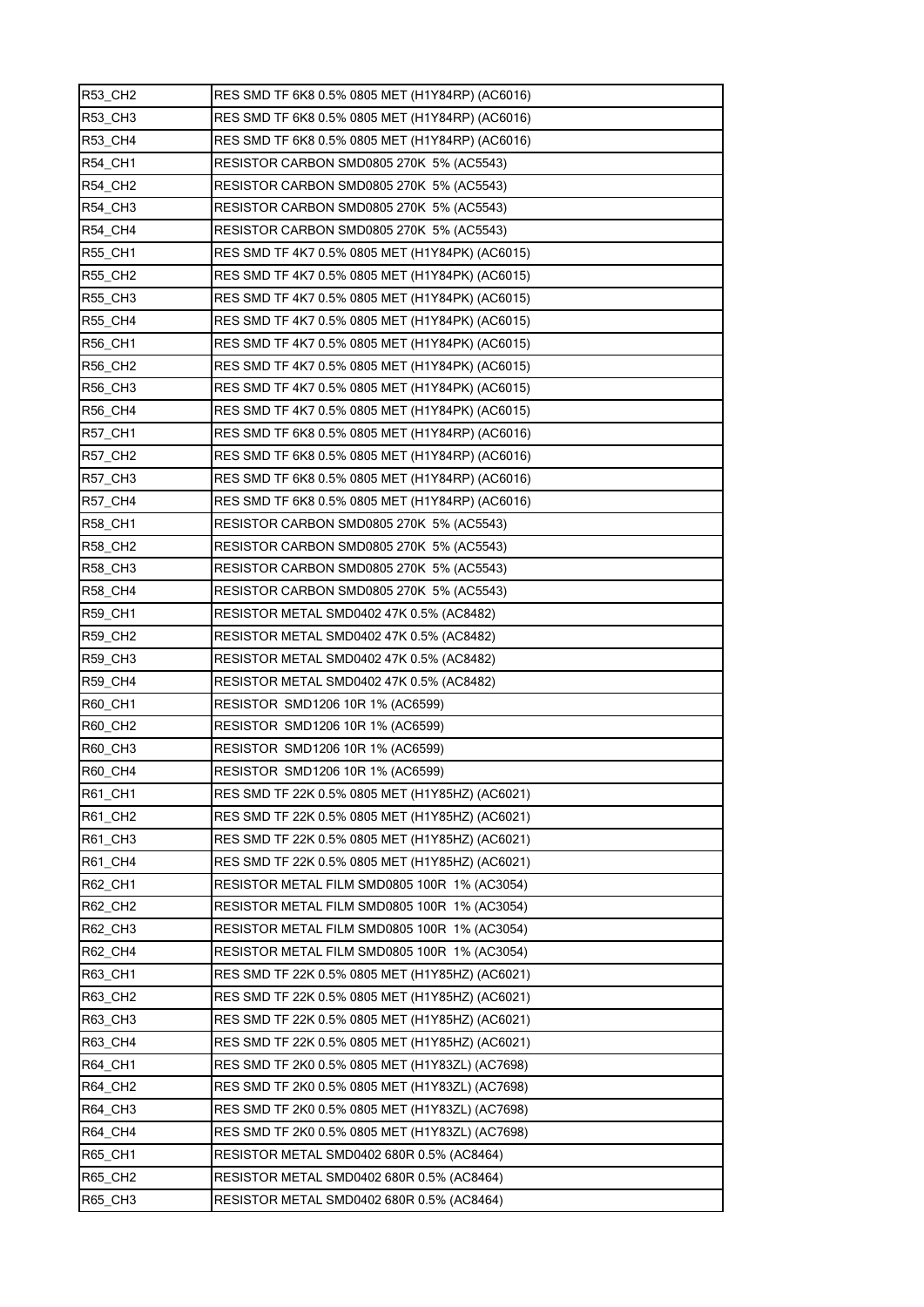| <b>R53 CH2</b> | RES SMD TF 6K8 0.5% 0805 MET (H1Y84RP) (AC6016) |
|----------------|-------------------------------------------------|
| R53_CH3        | RES SMD TF 6K8 0.5% 0805 MET (H1Y84RP) (AC6016) |
| <b>R53_CH4</b> | RES SMD TF 6K8 0.5% 0805 MET (H1Y84RP) (AC6016) |
| <b>R54 CH1</b> | RESISTOR CARBON SMD0805 270K 5% (AC5543)        |
| <b>R54 CH2</b> | RESISTOR CARBON SMD0805 270K 5% (AC5543)        |
| R54_CH3        | RESISTOR CARBON SMD0805 270K 5% (AC5543)        |
| R54_CH4        | RESISTOR CARBON SMD0805 270K 5% (AC5543)        |
| <b>R55 CH1</b> | RES SMD TF 4K7 0.5% 0805 MET (H1Y84PK) (AC6015) |
| <b>R55 CH2</b> | RES SMD TF 4K7 0.5% 0805 MET (H1Y84PK) (AC6015) |
| R55_CH3        | RES SMD TF 4K7 0.5% 0805 MET (H1Y84PK) (AC6015) |
| <b>R55 CH4</b> | RES SMD TF 4K7 0.5% 0805 MET (H1Y84PK) (AC6015) |
| <b>R56 CH1</b> | RES SMD TF 4K7 0.5% 0805 MET (H1Y84PK) (AC6015) |
| R56_CH2        | RES SMD TF 4K7 0.5% 0805 MET (H1Y84PK) (AC6015) |
| R56_CH3        | RES SMD TF 4K7 0.5% 0805 MET (H1Y84PK) (AC6015) |
| R56_CH4        | RES SMD TF 4K7 0.5% 0805 MET (H1Y84PK) (AC6015) |
| <b>R57_CH1</b> | RES SMD TF 6K8 0.5% 0805 MET (H1Y84RP) (AC6016) |
| <b>R57_CH2</b> | RES SMD TF 6K8 0.5% 0805 MET (H1Y84RP) (AC6016) |
| <b>R57 CH3</b> | RES SMD TF 6K8 0.5% 0805 MET (H1Y84RP) (AC6016) |
| R57_CH4        | RES SMD TF 6K8 0.5% 0805 MET (H1Y84RP) (AC6016) |
| <b>R58 CH1</b> | RESISTOR CARBON SMD0805 270K 5% (AC5543)        |
| <b>R58_CH2</b> | RESISTOR CARBON SMD0805 270K 5% (AC5543)        |
| R58_CH3        | RESISTOR CARBON SMD0805 270K 5% (AC5543)        |
| R58_CH4        | RESISTOR CARBON SMD0805 270K 5% (AC5543)        |
| <b>R59 CH1</b> | RESISTOR METAL SMD0402 47K 0.5% (AC8482)        |
| R59_CH2        | RESISTOR METAL SMD0402 47K 0.5% (AC8482)        |
| <b>R59 CH3</b> | RESISTOR METAL SMD0402 47K 0.5% (AC8482)        |
| <b>R59 CH4</b> | RESISTOR METAL SMD0402 47K 0.5% (AC8482)        |
| R60_CH1        | RESISTOR SMD1206 10R 1% (AC6599)                |
| R60_CH2        | RESISTOR SMD1206 10R 1% (AC6599)                |
| <b>R60 CH3</b> | RESISTOR SMD1206 10R 1% (AC6599)                |
| <b>R60 CH4</b> | RESISTOR SMD1206 10R 1% (AC6599)                |
| R61_CH1        | RES SMD TF 22K 0.5% 0805 MET (H1Y85HZ) (AC6021) |
| R61_CH2        | RES SMD TF 22K 0.5% 0805 MET (H1Y85HZ) (AC6021) |
| R61_CH3        | RES SMD TF 22K 0.5% 0805 MET (H1Y85HZ) (AC6021) |
| R61 CH4        | RES SMD TF 22K 0.5% 0805 MET (H1Y85HZ) (AC6021) |
| R62_CH1        | RESISTOR METAL FILM SMD0805 100R 1% (AC3054)    |
| R62_CH2        | RESISTOR METAL FILM SMD0805 100R 1% (AC3054)    |
| R62_CH3        | RESISTOR METAL FILM SMD0805 100R 1% (AC3054)    |
| <b>R62 CH4</b> | RESISTOR METAL FILM SMD0805 100R 1% (AC3054)    |
| R63_CH1        | RES SMD TF 22K 0.5% 0805 MET (H1Y85HZ) (AC6021) |
| R63_CH2        | RES SMD TF 22K 0.5% 0805 MET (H1Y85HZ) (AC6021) |
| R63 CH3        | RES SMD TF 22K 0.5% 0805 MET (H1Y85HZ) (AC6021) |
| R63 CH4        | RES SMD TF 22K 0.5% 0805 MET (H1Y85HZ) (AC6021) |
| R64_CH1        | RES SMD TF 2K0 0.5% 0805 MET (H1Y83ZL) (AC7698) |
| R64_CH2        | RES SMD TF 2K0 0.5% 0805 MET (H1Y83ZL) (AC7698) |
| <b>R64 CH3</b> | RES SMD TF 2K0 0.5% 0805 MET (H1Y83ZL) (AC7698) |
| R64_CH4        | RES SMD TF 2K0 0.5% 0805 MET (H1Y83ZL) (AC7698) |
| <b>R65 CH1</b> | RESISTOR METAL SMD0402 680R 0.5% (AC8464)       |
| R65 CH2        | RESISTOR METAL SMD0402 680R 0.5% (AC8464)       |
| R65_CH3        | RESISTOR METAL SMD0402 680R 0.5% (AC8464)       |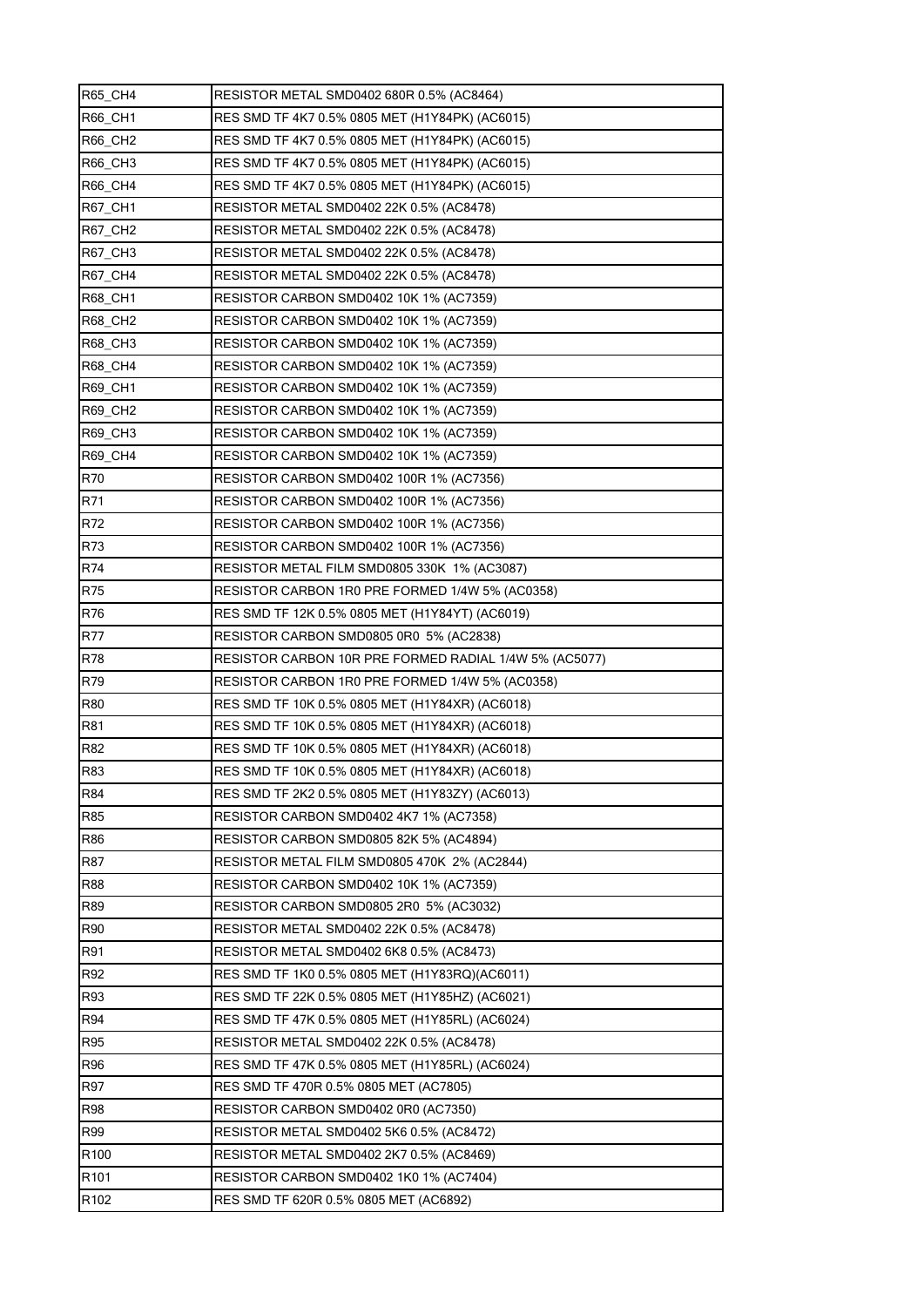| <b>R65 CH4</b>   | RESISTOR METAL SMD0402 680R 0.5% (AC8464)              |
|------------------|--------------------------------------------------------|
| <b>R66 CH1</b>   | RES SMD TF 4K7 0.5% 0805 MET (H1Y84PK) (AC6015)        |
| R66_CH2          | RES SMD TF 4K7 0.5% 0805 MET (H1Y84PK) (AC6015)        |
| R66_CH3          | RES SMD TF 4K7 0.5% 0805 MET (H1Y84PK) (AC6015)        |
| <b>R66 CH4</b>   | RES SMD TF 4K7 0.5% 0805 MET (H1Y84PK) (AC6015)        |
| R67_CH1          | RESISTOR METAL SMD0402 22K 0.5% (AC8478)               |
| R67_CH2          | RESISTOR METAL SMD0402 22K 0.5% (AC8478)               |
| <b>R67 CH3</b>   | RESISTOR METAL SMD0402 22K 0.5% (AC8478)               |
| <b>R67 CH4</b>   | RESISTOR METAL SMD0402 22K 0.5% (AC8478)               |
| R68_CH1          | RESISTOR CARBON SMD0402 10K 1% (AC7359)                |
| <b>R68 CH2</b>   | RESISTOR CARBON SMD0402 10K 1% (AC7359)                |
| <b>R68 CH3</b>   | RESISTOR CARBON SMD0402 10K 1% (AC7359)                |
| <b>R68 CH4</b>   | RESISTOR CARBON SMD0402 10K 1% (AC7359)                |
| <b>R69 CH1</b>   | RESISTOR CARBON SMD0402 10K 1% (AC7359)                |
| <b>R69 CH2</b>   | RESISTOR CARBON SMD0402 10K 1% (AC7359)                |
| R69_CH3          | RESISTOR CARBON SMD0402 10K 1% (AC7359)                |
| R69_CH4          | RESISTOR CARBON SMD0402 10K 1% (AC7359)                |
| R70              | RESISTOR CARBON SMD0402 100R 1% (AC7356)               |
| R71              | RESISTOR CARBON SMD0402 100R 1% (AC7356)               |
| R72              | RESISTOR CARBON SMD0402 100R 1% (AC7356)               |
| R73              | RESISTOR CARBON SMD0402 100R 1% (AC7356)               |
| R74              | RESISTOR METAL FILM SMD0805 330K 1% (AC3087)           |
| <b>R75</b>       | RESISTOR CARBON 1R0 PRE FORMED 1/4W 5% (AC0358)        |
| R76              | RES SMD TF 12K 0.5% 0805 MET (H1Y84YT) (AC6019)        |
| <b>R77</b>       | RESISTOR CARBON SMD0805 0R0 5% (AC2838)                |
| <b>R78</b>       | RESISTOR CARBON 10R PRE FORMED RADIAL 1/4W 5% (AC5077) |
| R79              | RESISTOR CARBON 1R0 PRE FORMED 1/4W 5% (AC0358)        |
| <b>R80</b>       | RES SMD TF 10K 0.5% 0805 MET (H1Y84XR) (AC6018)        |
| R81              | RES SMD TF 10K 0.5% 0805 MET (H1Y84XR) (AC6018)        |
| R82              | RES SMD TF 10K 0.5% 0805 MET (H1Y84XR) (AC6018)        |
| R83              | RES SMD TF 10K 0.5% 0805 MET (H1Y84XR) (AC6018)        |
| R84              | RES SMD TF 2K2 0.5% 0805 MET (H1Y83ZY) (AC6013)        |
| R85              | RESISTOR CARBON SMD0402 4K7 1% (AC7358)                |
| R86              | RESISTOR CARBON SMD0805 82K 5% (AC4894)                |
| R87              | RESISTOR METAL FILM SMD0805 470K 2% (AC2844)           |
| <b>R88</b>       | RESISTOR CARBON SMD0402 10K 1% (AC7359)                |
| R89              | RESISTOR CARBON SMD0805 2R0 5% (AC3032)                |
| R90              | RESISTOR METAL SMD0402 22K 0.5% (AC8478)               |
| R91              | RESISTOR METAL SMD0402 6K8 0.5% (AC8473)               |
| R92              | RES SMD TF 1K0 0.5% 0805 MET (H1Y83RQ)(AC6011)         |
| R93              | RES SMD TF 22K 0.5% 0805 MET (H1Y85HZ) (AC6021)        |
| R94              | RES SMD TF 47K 0.5% 0805 MET (H1Y85RL) (AC6024)        |
| <b>R95</b>       | RESISTOR METAL SMD0402 22K 0.5% (AC8478)               |
| R96              | RES SMD TF 47K 0.5% 0805 MET (H1Y85RL) (AC6024)        |
| R97              | RES SMD TF 470R 0.5% 0805 MET (AC7805)                 |
| <b>R98</b>       | RESISTOR CARBON SMD0402 0R0 (AC7350)                   |
| R99              | RESISTOR METAL SMD0402 5K6 0.5% (AC8472)               |
| R <sub>100</sub> | RESISTOR METAL SMD0402 2K7 0.5% (AC8469)               |
|                  |                                                        |
| R <sub>101</sub> | RESISTOR CARBON SMD0402 1K0 1% (AC7404)                |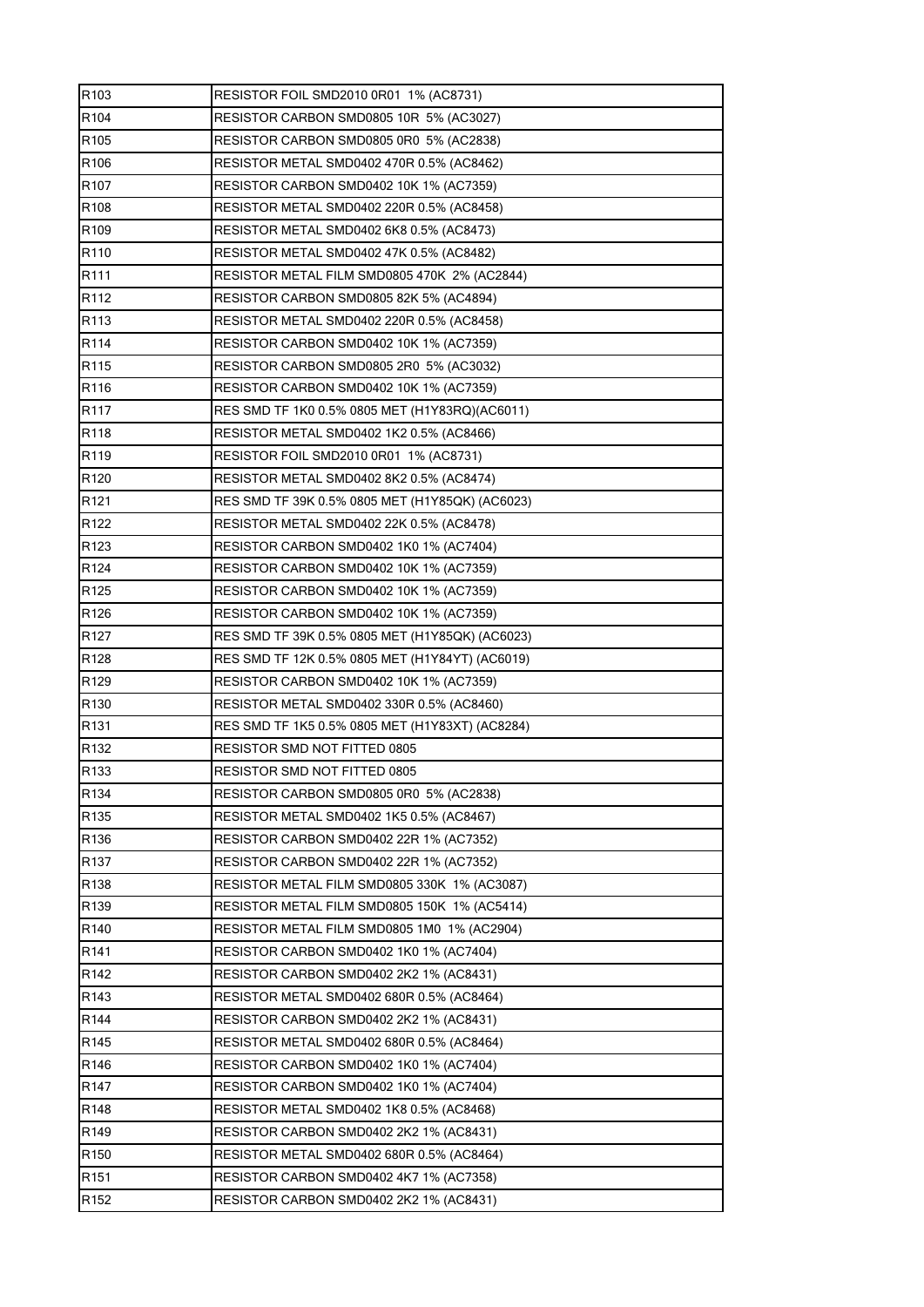| R <sub>103</sub> | RESISTOR FOIL SMD2010 0R01 1% (AC8731)          |
|------------------|-------------------------------------------------|
| R <sub>104</sub> | RESISTOR CARBON SMD0805 10R 5% (AC3027)         |
| R <sub>105</sub> | RESISTOR CARBON SMD0805 0R0 5% (AC2838)         |
| R <sub>106</sub> | RESISTOR METAL SMD0402 470R 0.5% (AC8462)       |
| R <sub>107</sub> | RESISTOR CARBON SMD0402 10K 1% (AC7359)         |
| R108             | RESISTOR METAL SMD0402 220R 0.5% (AC8458)       |
| R <sub>109</sub> | RESISTOR METAL SMD0402 6K8 0.5% (AC8473)        |
| R110             | RESISTOR METAL SMD0402 47K 0.5% (AC8482)        |
| R111             | RESISTOR METAL FILM SMD0805 470K 2% (AC2844)    |
| R <sub>112</sub> | RESISTOR CARBON SMD0805 82K 5% (AC4894)         |
| R <sub>113</sub> | RESISTOR METAL SMD0402 220R 0.5% (AC8458)       |
| R114             | RESISTOR CARBON SMD0402 10K 1% (AC7359)         |
| R <sub>115</sub> | RESISTOR CARBON SMD0805 2R0 5% (AC3032)         |
| R <sub>116</sub> | RESISTOR CARBON SMD0402 10K 1% (AC7359)         |
| R <sub>117</sub> | RES SMD TF 1K0 0.5% 0805 MET (H1Y83RQ)(AC6011)  |
| R118             | RESISTOR METAL SMD0402 1K2 0.5% (AC8466)        |
| R119             | RESISTOR FOIL SMD2010 0R01 1% (AC8731)          |
| R120             | RESISTOR METAL SMD0402 8K2 0.5% (AC8474)        |
| R <sub>121</sub> | RES SMD TF 39K 0.5% 0805 MET (H1Y85QK) (AC6023) |
| R <sub>122</sub> | RESISTOR METAL SMD0402 22K 0.5% (AC8478)        |
| R <sub>123</sub> | RESISTOR CARBON SMD0402 1K0 1% (AC7404)         |
| R124             | RESISTOR CARBON SMD0402 10K 1% (AC7359)         |
| R <sub>125</sub> | RESISTOR CARBON SMD0402 10K 1% (AC7359)         |
| R <sub>126</sub> | RESISTOR CARBON SMD0402 10K 1% (AC7359)         |
| R <sub>127</sub> | RES SMD TF 39K 0.5% 0805 MET (H1Y85QK) (AC6023) |
| R <sub>128</sub> | RES SMD TF 12K 0.5% 0805 MET (H1Y84YT) (AC6019) |
| R <sub>129</sub> | RESISTOR CARBON SMD0402 10K 1% (AC7359)         |
| R130             | RESISTOR METAL SMD0402 330R 0.5% (AC8460)       |
| R131             | RES SMD TF 1K5 0.5% 0805 MET (H1Y83XT) (AC8284) |
| R <sub>132</sub> | RESISTOR SMD NOT FITTED 0805                    |
| R133             | RESISTOR SMD NOT FITTED 0805                    |
| R <sub>134</sub> | RESISTOR CARBON SMD0805 0R0 5% (AC2838)         |
| R <sub>135</sub> | RESISTOR METAL SMD0402 1K5 0.5% (AC8467)        |
| R136             | RESISTOR CARBON SMD0402 22R 1% (AC7352)         |
| R137             | RESISTOR CARBON SMD0402 22R 1% (AC7352)         |
| R138             | RESISTOR METAL FILM SMD0805 330K 1% (AC3087)    |
| R <sub>139</sub> | RESISTOR METAL FILM SMD0805 150K_1% (AC5414)    |
| R140             | RESISTOR METAL FILM SMD0805 1M0 1% (AC2904)     |
| R <sub>141</sub> | RESISTOR CARBON SMD0402 1K0 1% (AC7404)         |
| R <sub>142</sub> | RESISTOR CARBON SMD0402 2K2 1% (AC8431)         |
| R143             | RESISTOR METAL SMD0402 680R 0.5% (AC8464)       |
| R <sub>144</sub> | RESISTOR CARBON SMD0402 2K2 1% (AC8431)         |
| R <sub>145</sub> | RESISTOR METAL SMD0402 680R 0.5% (AC8464)       |
| R146             | RESISTOR CARBON SMD0402 1K0 1% (AC7404)         |
| R <sub>147</sub> | RESISTOR CARBON SMD0402 1K0 1% (AC7404)         |
| R148             | RESISTOR METAL SMD0402 1K8 0.5% (AC8468)        |
| R149             | RESISTOR CARBON SMD0402 2K2 1% (AC8431)         |
| R <sub>150</sub> | RESISTOR METAL SMD0402 680R 0.5% (AC8464)       |
| R <sub>151</sub> | RESISTOR CARBON SMD0402 4K7 1% (AC7358)         |
| R <sub>152</sub> | RESISTOR CARBON SMD0402 2K2 1% (AC8431)         |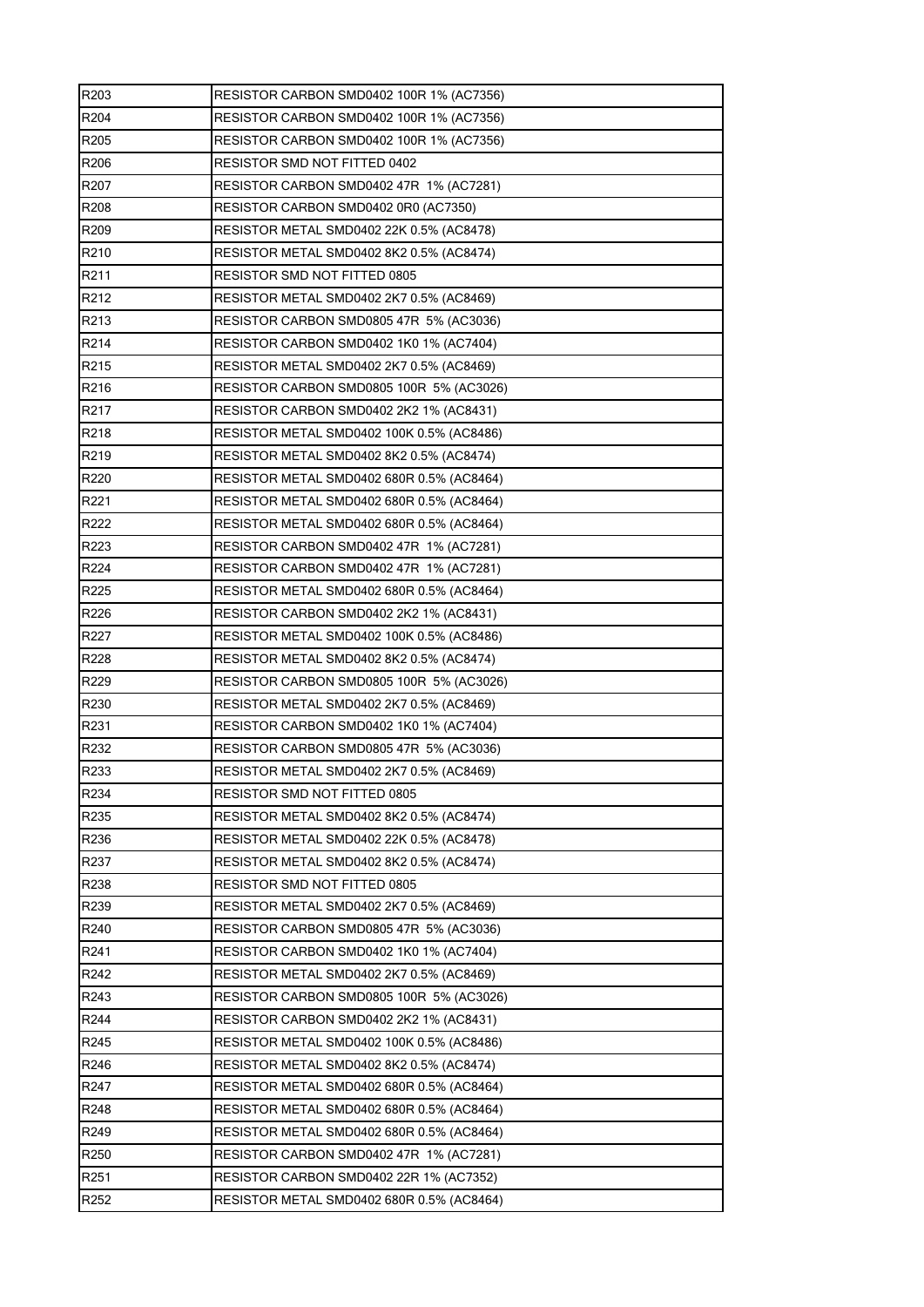| R <sub>203</sub> | <b>RESISTOR CARBON SMD0402 100R 1% (AC7356)</b> |
|------------------|-------------------------------------------------|
| R204             | RESISTOR CARBON SMD0402 100R 1% (AC7356)        |
| R205             | RESISTOR CARBON SMD0402 100R 1% (AC7356)        |
| R206             | RESISTOR SMD NOT FITTED 0402                    |
| R <sub>207</sub> | RESISTOR CARBON SMD0402 47R 1% (AC7281)         |
| R208             | RESISTOR CARBON SMD0402 0R0 (AC7350)            |
| R209             | RESISTOR METAL SMD0402 22K 0.5% (AC8478)        |
| R210             | RESISTOR METAL SMD0402 8K2 0.5% (AC8474)        |
| R211             | <b>RESISTOR SMD NOT FITTED 0805</b>             |
| R212             | RESISTOR METAL SMD0402 2K7 0.5% (AC8469)        |
| R213             | RESISTOR CARBON SMD0805 47R 5% (AC3036)         |
| R214             | RESISTOR CARBON SMD0402 1K0 1% (AC7404)         |
| R215             | RESISTOR METAL SMD0402 2K7 0.5% (AC8469)        |
| R <sub>216</sub> | RESISTOR CARBON SMD0805 100R 5% (AC3026)        |
| R217             | RESISTOR CARBON SMD0402 2K2 1% (AC8431)         |
| R218             | RESISTOR METAL SMD0402 100K 0.5% (AC8486)       |
| R219             | RESISTOR METAL SMD0402 8K2 0.5% (AC8474)        |
| R220             | RESISTOR METAL SMD0402 680R 0.5% (AC8464)       |
| R221             | RESISTOR METAL SMD0402 680R 0.5% (AC8464)       |
| R222             | RESISTOR METAL SMD0402 680R 0.5% (AC8464)       |
| R223             | RESISTOR CARBON SMD0402 47R 1% (AC7281)         |
| R224             | RESISTOR CARBON SMD0402 47R 1% (AC7281)         |
| R225             | RESISTOR METAL SMD0402 680R 0.5% (AC8464)       |
| R226             | RESISTOR CARBON SMD0402 2K2 1% (AC8431)         |
| R227             | RESISTOR METAL SMD0402 100K 0.5% (AC8486)       |
| R228             | RESISTOR METAL SMD0402 8K2 0.5% (AC8474)        |
| R229             | RESISTOR CARBON SMD0805 100R 5% (AC3026)        |
| R230             | RESISTOR METAL SMD0402 2K7 0.5% (AC8469)        |
| R231             | RESISTOR CARBON SMD0402 1K0 1% (AC7404)         |
| R232             | RESISTOR CARBON SMD0805 47R 5% (AC3036)         |
| R233             | RESISTOR METAL SMD0402 2K7 0.5% (AC8469)        |
| R234             | RESISTOR SMD NOT FITTED 0805                    |
| R235             | RESISTOR METAL SMD0402 8K2 0.5% (AC8474)        |
| R236             | RESISTOR METAL SMD0402 22K 0.5% (AC8478)        |
| R237             | RESISTOR METAL SMD0402 8K2 0.5% (AC8474)        |
| R238             | RESISTOR SMD NOT FITTED 0805                    |
| R239             | RESISTOR METAL SMD0402 2K7 0.5% (AC8469)        |
| R240             | RESISTOR CARBON SMD0805 47R 5% (AC3036)         |
| R241             | RESISTOR CARBON SMD0402 1K0 1% (AC7404)         |
| R242             | RESISTOR METAL SMD0402 2K7 0.5% (AC8469)        |
| R243             | RESISTOR CARBON SMD0805 100R 5% (AC3026)        |
| R244             | RESISTOR CARBON SMD0402 2K2 1% (AC8431)         |
| R245             | RESISTOR METAL SMD0402 100K 0.5% (AC8486)       |
| R246             | RESISTOR METAL SMD0402 8K2 0.5% (AC8474)        |
| R247             | RESISTOR METAL SMD0402 680R 0.5% (AC8464)       |
| R248             | RESISTOR METAL SMD0402 680R 0.5% (AC8464)       |
| R249             | RESISTOR METAL SMD0402 680R 0.5% (AC8464)       |
| R <sub>250</sub> | RESISTOR CARBON SMD0402 47R 1% (AC7281)         |
| R <sub>251</sub> | RESISTOR CARBON SMD0402 22R 1% (AC7352)         |
| R252             | RESISTOR METAL SMD0402 680R 0.5% (AC8464)       |
|                  |                                                 |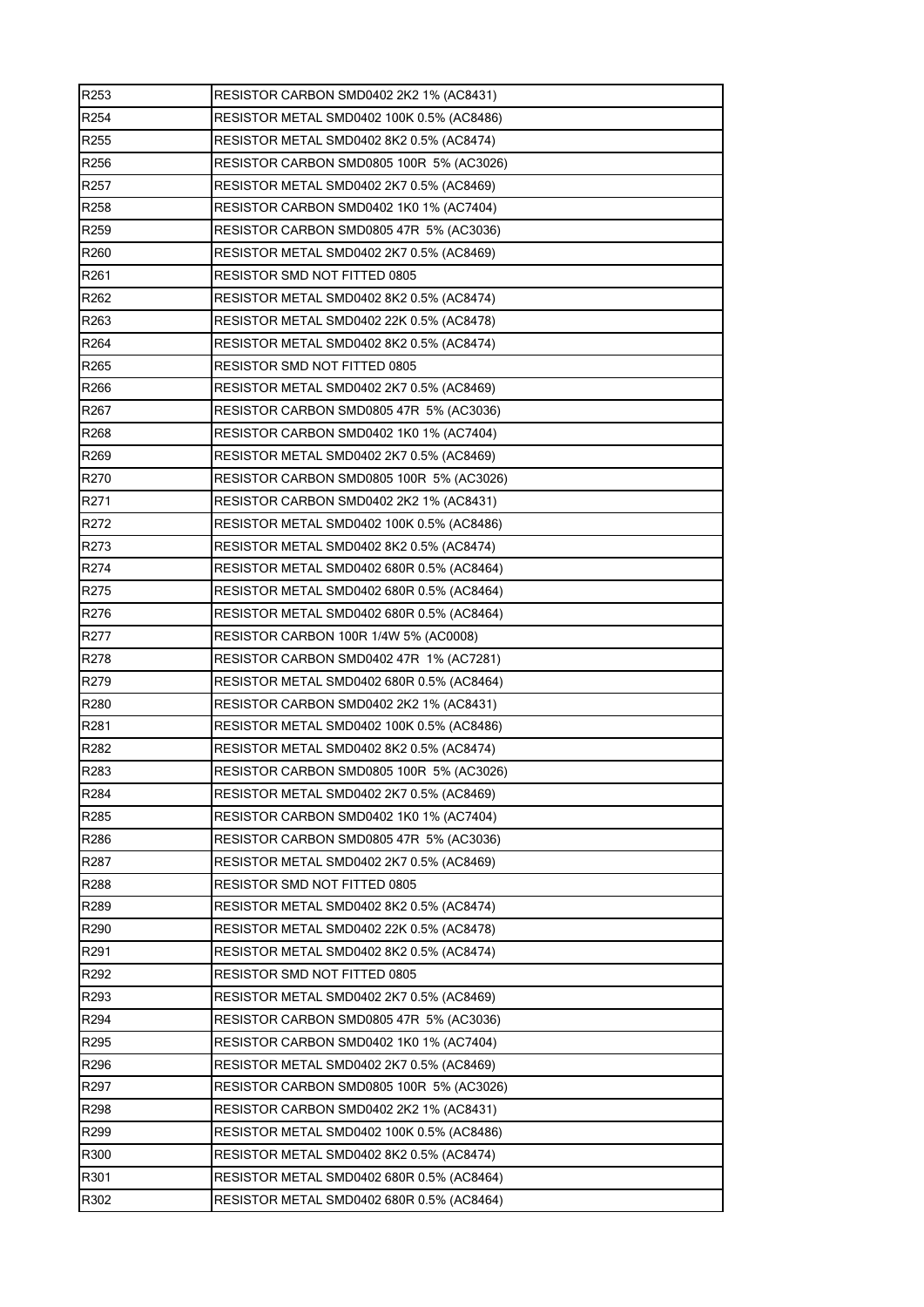| R <sub>253</sub> | RESISTOR CARBON SMD0402 2K2 1% (AC8431)   |
|------------------|-------------------------------------------|
| R254             | RESISTOR METAL SMD0402 100K 0.5% (AC8486) |
| R255             | RESISTOR METAL SMD0402 8K2 0.5% (AC8474)  |
| R256             | RESISTOR CARBON SMD0805 100R 5% (AC3026)  |
| R <sub>257</sub> | RESISTOR METAL SMD0402 2K7 0.5% (AC8469)  |
| R <sub>258</sub> | RESISTOR CARBON SMD0402 1K0 1% (AC7404)   |
| R <sub>259</sub> | RESISTOR CARBON SMD0805 47R 5% (AC3036)   |
| R260             | RESISTOR METAL SMD0402 2K7 0.5% (AC8469)  |
| R261             | RESISTOR SMD NOT FITTED 0805              |
| R262             | RESISTOR METAL SMD0402 8K2 0.5% (AC8474)  |
| R <sub>263</sub> | RESISTOR METAL SMD0402 22K 0.5% (AC8478)  |
| R264             | RESISTOR METAL SMD0402 8K2 0.5% (AC8474)  |
| R265             | RESISTOR SMD NOT FITTED 0805              |
| R <sub>266</sub> | RESISTOR METAL SMD0402 2K7 0.5% (AC8469)  |
| R267             | RESISTOR CARBON SMD0805 47R 5% (AC3036)   |
| R268             | RESISTOR CARBON SMD0402 1K0 1% (AC7404)   |
| R <sub>269</sub> | RESISTOR METAL SMD0402 2K7 0.5% (AC8469)  |
| R270             | RESISTOR CARBON SMD0805 100R 5% (AC3026)  |
| R271             | RESISTOR CARBON SMD0402 2K2 1% (AC8431)   |
| R272             | RESISTOR METAL SMD0402 100K 0.5% (AC8486) |
| R273             | RESISTOR METAL SMD0402 8K2 0.5% (AC8474)  |
| R274             | RESISTOR METAL SMD0402 680R 0.5% (AC8464) |
| R275             | RESISTOR METAL SMD0402 680R 0.5% (AC8464) |
| R276             | RESISTOR METAL SMD0402 680R 0.5% (AC8464) |
| R277             | RESISTOR CARBON 100R 1/4W 5% (AC0008)     |
| R278             | RESISTOR CARBON SMD0402 47R 1% (AC7281)   |
| R279             | RESISTOR METAL SMD0402 680R 0.5% (AC8464) |
| R280             | RESISTOR CARBON SMD0402 2K2 1% (AC8431)   |
| R281             | RESISTOR METAL SMD0402 100K 0.5% (AC8486) |
| R <sub>282</sub> | RESISTOR METAL SMD0402 8K2 0.5% (AC8474)  |
| R283             | RESISTOR CARBON SMD0805 100R 5% (AC3026)  |
| R284             | RESISTOR METAL SMD0402 2K7 0.5% (AC8469)  |
| R285             | RESISTOR CARBON SMD0402 1K0 1% (AC7404)   |
| R286             | RESISTOR CARBON SMD0805 47R 5% (AC3036)   |
| R <sub>287</sub> | RESISTOR METAL SMD0402 2K7 0.5% (AC8469)  |
| R288             | RESISTOR SMD NOT FITTED 0805              |
| R289             | RESISTOR METAL SMD0402 8K2 0.5% (AC8474)  |
| R290             | RESISTOR METAL SMD0402 22K 0.5% (AC8478)  |
| R291             | RESISTOR METAL SMD0402 8K2 0.5% (AC8474)  |
| R292             | RESISTOR SMD NOT FITTED 0805              |
| R293             | RESISTOR METAL SMD0402 2K7 0.5% (AC8469)  |
| R294             | RESISTOR CARBON SMD0805 47R 5% (AC3036)   |
| R295             | RESISTOR CARBON SMD0402 1K0 1% (AC7404)   |
| R296             | RESISTOR METAL SMD0402 2K7 0.5% (AC8469)  |
| R297             | RESISTOR CARBON SMD0805 100R 5% (AC3026)  |
| R298             | RESISTOR CARBON SMD0402 2K2 1% (AC8431)   |
| R <sub>299</sub> | RESISTOR METAL SMD0402 100K 0.5% (AC8486) |
| R300             | RESISTOR METAL SMD0402 8K2 0.5% (AC8474)  |
| R301             | RESISTOR METAL SMD0402 680R 0.5% (AC8464) |
| R302             | RESISTOR METAL SMD0402 680R 0.5% (AC8464) |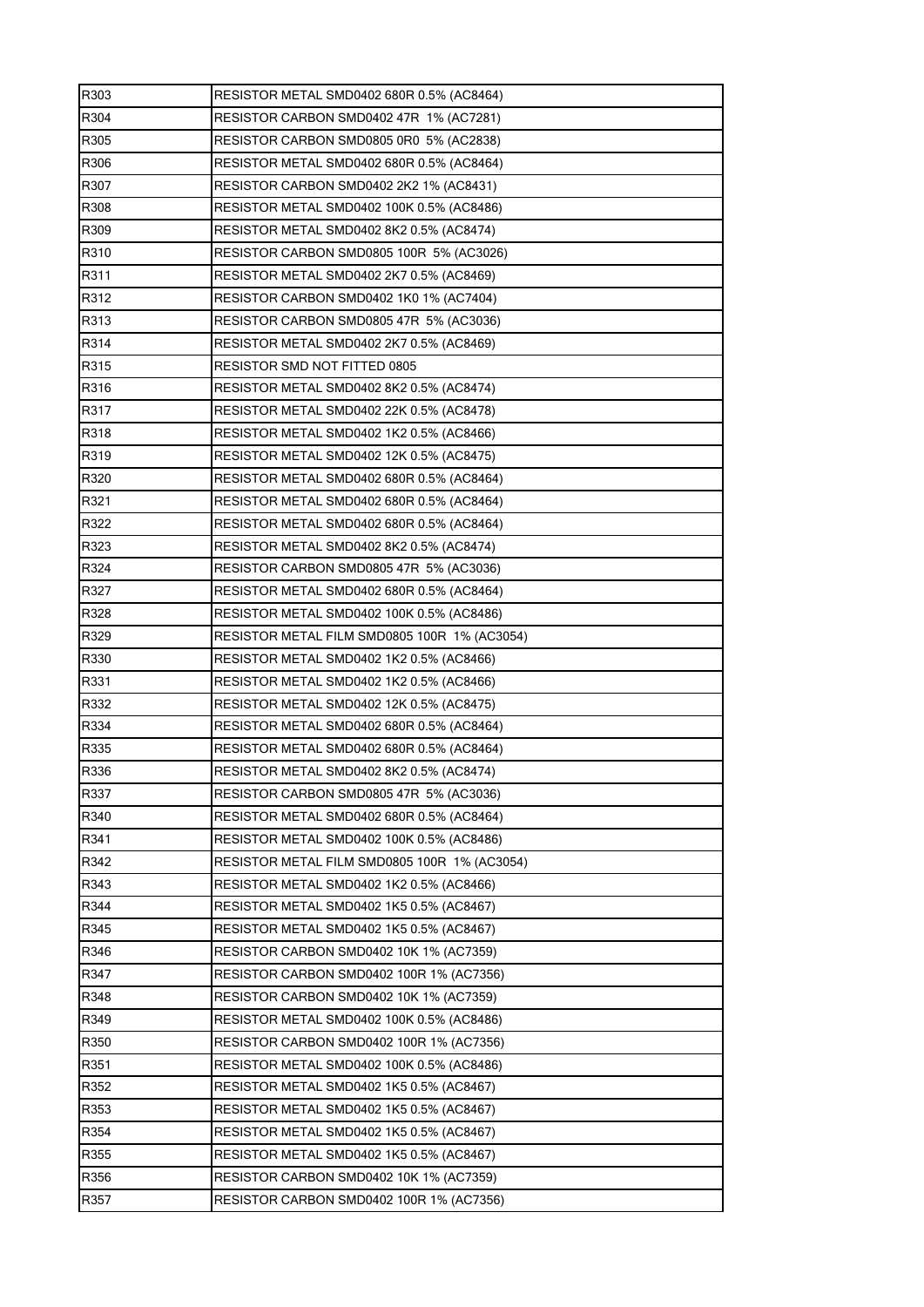| R303 | RESISTOR METAL SMD0402 680R 0.5% (AC8464)    |
|------|----------------------------------------------|
| R304 | RESISTOR CARBON SMD0402 47R 1% (AC7281)      |
| R305 | RESISTOR CARBON SMD0805 0R0 5% (AC2838)      |
| R306 | RESISTOR METAL SMD0402 680R 0.5% (AC8464)    |
| R307 | RESISTOR CARBON SMD0402 2K2 1% (AC8431)      |
| R308 | RESISTOR METAL SMD0402 100K 0.5% (AC8486)    |
| R309 | RESISTOR METAL SMD0402 8K2 0.5% (AC8474)     |
| R310 | RESISTOR CARBON SMD0805 100R 5% (AC3026)     |
| R311 | RESISTOR METAL SMD0402 2K7 0.5% (AC8469)     |
| R312 | RESISTOR CARBON SMD0402 1K0 1% (AC7404)      |
| R313 | RESISTOR CARBON SMD0805 47R 5% (AC3036)      |
| R314 | RESISTOR METAL SMD0402 2K7 0.5% (AC8469)     |
| R315 | RESISTOR SMD NOT FITTED 0805                 |
| R316 | RESISTOR METAL SMD0402 8K2 0.5% (AC8474)     |
| R317 | RESISTOR METAL SMD0402 22K 0.5% (AC8478)     |
| R318 | RESISTOR METAL SMD0402 1K2 0.5% (AC8466)     |
| R319 | RESISTOR METAL SMD0402 12K 0.5% (AC8475)     |
| R320 | RESISTOR METAL SMD0402 680R 0.5% (AC8464)    |
| R321 | RESISTOR METAL SMD0402 680R 0.5% (AC8464)    |
| R322 | RESISTOR METAL SMD0402 680R 0.5% (AC8464)    |
| R323 | RESISTOR METAL SMD0402 8K2 0.5% (AC8474)     |
| R324 | RESISTOR CARBON SMD0805 47R 5% (AC3036)      |
| R327 | RESISTOR METAL SMD0402 680R 0.5% (AC8464)    |
| R328 | RESISTOR METAL SMD0402 100K 0.5% (AC8486)    |
| R329 | RESISTOR METAL FILM SMD0805 100R 1% (AC3054) |
| R330 | RESISTOR METAL SMD0402 1K2 0.5% (AC8466)     |
| R331 | RESISTOR METAL SMD0402 1K2 0.5% (AC8466)     |
|      |                                              |
| R332 | RESISTOR METAL SMD0402 12K 0.5% (AC8475)     |
| R334 | RESISTOR METAL SMD0402 680R 0.5% (AC8464)    |
| R335 | RESISTOR METAL SMD0402 680R 0.5% (AC8464)    |
| R336 | RESISTOR METAL SMD0402 8K2 0.5% (AC8474)     |
| R337 | RESISTOR CARBON SMD0805 47R 5% (AC3036)      |
| R340 | RESISTOR METAL SMD0402 680R 0.5% (AC8464)    |
| R341 | RESISTOR METAL SMD0402 100K 0.5% (AC8486)    |
| R342 | RESISTOR METAL FILM SMD0805 100R 1% (AC3054) |
| R343 | RESISTOR METAL SMD0402 1K2 0.5% (AC8466)     |
| R344 | RESISTOR METAL SMD0402 1K5 0.5% (AC8467)     |
| R345 | RESISTOR METAL SMD0402 1K5 0.5% (AC8467)     |
| R346 | RESISTOR CARBON SMD0402 10K 1% (AC7359)      |
| R347 | RESISTOR CARBON SMD0402 100R 1% (AC7356)     |
| R348 | RESISTOR CARBON SMD0402 10K 1% (AC7359)      |
| R349 | RESISTOR METAL SMD0402 100K 0.5% (AC8486)    |
| R350 | RESISTOR CARBON SMD0402 100R 1% (AC7356)     |
| R351 | RESISTOR METAL SMD0402 100K 0.5% (AC8486)    |
| R352 | RESISTOR METAL SMD0402 1K5 0.5% (AC8467)     |
| R353 | RESISTOR METAL SMD0402 1K5 0.5% (AC8467)     |
| R354 | RESISTOR METAL SMD0402 1K5 0.5% (AC8467)     |
| R355 | RESISTOR METAL SMD0402 1K5 0.5% (AC8467)     |
| R356 | RESISTOR CARBON SMD0402 10K 1% (AC7359)      |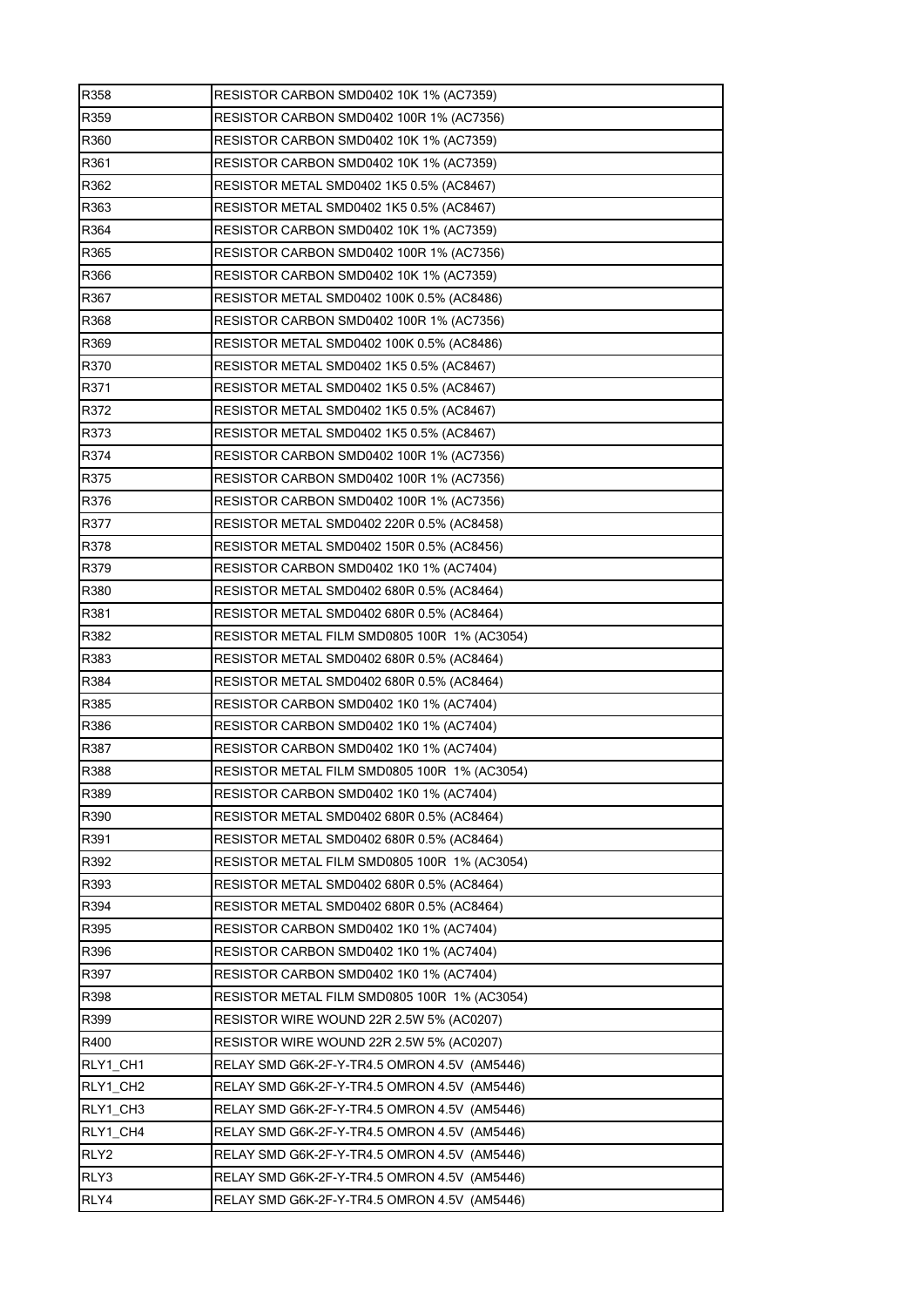| R358             | RESISTOR CARBON SMD0402 10K 1% (AC7359)      |
|------------------|----------------------------------------------|
| R359             | RESISTOR CARBON SMD0402 100R 1% (AC7356)     |
| R360             | RESISTOR CARBON SMD0402 10K 1% (AC7359)      |
| R361             | RESISTOR CARBON SMD0402 10K 1% (AC7359)      |
| R362             | RESISTOR METAL SMD0402 1K5 0.5% (AC8467)     |
| R363             | RESISTOR METAL SMD0402 1K5 0.5% (AC8467)     |
| R364             | RESISTOR CARBON SMD0402 10K 1% (AC7359)      |
| R365             | RESISTOR CARBON SMD0402 100R 1% (AC7356)     |
| R366             | RESISTOR CARBON SMD0402 10K 1% (AC7359)      |
| R367             | RESISTOR METAL SMD0402 100K 0.5% (AC8486)    |
| R368             | RESISTOR CARBON SMD0402 100R 1% (AC7356)     |
| R369             | RESISTOR METAL SMD0402 100K 0.5% (AC8486)    |
| R370             | RESISTOR METAL SMD0402 1K5 0.5% (AC8467)     |
| R371             | RESISTOR METAL SMD0402 1K5 0.5% (AC8467)     |
| R372             | RESISTOR METAL SMD0402 1K5 0.5% (AC8467)     |
| R373             | RESISTOR METAL SMD0402 1K5 0.5% (AC8467)     |
| R374             | RESISTOR CARBON SMD0402 100R 1% (AC7356)     |
| R375             | RESISTOR CARBON SMD0402 100R 1% (AC7356)     |
| R376             | RESISTOR CARBON SMD0402 100R 1% (AC7356)     |
| R377             | RESISTOR METAL SMD0402 220R 0.5% (AC8458)    |
| R378             | RESISTOR METAL SMD0402 150R 0.5% (AC8456)    |
| R379             | RESISTOR CARBON SMD0402 1K0 1% (AC7404)      |
| R380             | RESISTOR METAL SMD0402 680R 0.5% (AC8464)    |
| R381             | RESISTOR METAL SMD0402 680R 0.5% (AC8464)    |
| R382             | RESISTOR METAL FILM SMD0805 100R 1% (AC3054) |
| R383             | RESISTOR METAL SMD0402 680R 0.5% (AC8464)    |
| R384             | RESISTOR METAL SMD0402 680R 0.5% (AC8464)    |
| R385             | RESISTOR CARBON SMD0402 1K0 1% (AC7404)      |
| R386             | RESISTOR CARBON SMD0402 1K0 1% (AC7404)      |
| R387             | RESISTOR CARBON SMD0402 1K0 1% (AC7404)      |
| R388             | RESISTOR METAL FILM SMD0805 100R 1% (AC3054) |
| R389             | RESISTOR CARBON SMD0402 1K0 1% (AC7404)      |
| R390             | RESISTOR METAL SMD0402 680R 0.5% (AC8464)    |
| R391             | RESISTOR METAL SMD0402 680R 0.5% (AC8464)    |
| R392             | RESISTOR METAL FILM SMD0805 100R 1% (AC3054) |
| R393             | RESISTOR METAL SMD0402 680R 0.5% (AC8464)    |
| R394             | RESISTOR METAL SMD0402 680R 0.5% (AC8464)    |
| R395             | RESISTOR CARBON SMD0402 1K0 1% (AC7404)      |
| R396             | RESISTOR CARBON SMD0402 1K0 1% (AC7404)      |
| R397             | RESISTOR CARBON SMD0402 1K0 1% (AC7404)      |
| R398             | RESISTOR METAL FILM SMD0805 100R 1% (AC3054) |
| R399             | RESISTOR WIRE WOUND 22R 2.5W 5% (AC0207)     |
| R400             | RESISTOR WIRE WOUND 22R 2.5W 5% (AC0207)     |
| RLY1_CH1         | RELAY SMD G6K-2F-Y-TR4.5 OMRON 4.5V (AM5446) |
| RLY1_CH2         | RELAY SMD G6K-2F-Y-TR4.5 OMRON 4.5V (AM5446) |
| RLY1 CH3         | RELAY SMD G6K-2F-Y-TR4.5 OMRON 4.5V (AM5446) |
| RLY1_CH4         | RELAY SMD G6K-2F-Y-TR4.5 OMRON 4.5V(AM5446)  |
| RLY <sub>2</sub> |                                              |
|                  | RELAY SMD G6K-2F-Y-TR4.5 OMRON 4.5V (AM5446) |
| RLY3             | RELAY SMD G6K-2F-Y-TR4.5 OMRON 4.5V (AM5446) |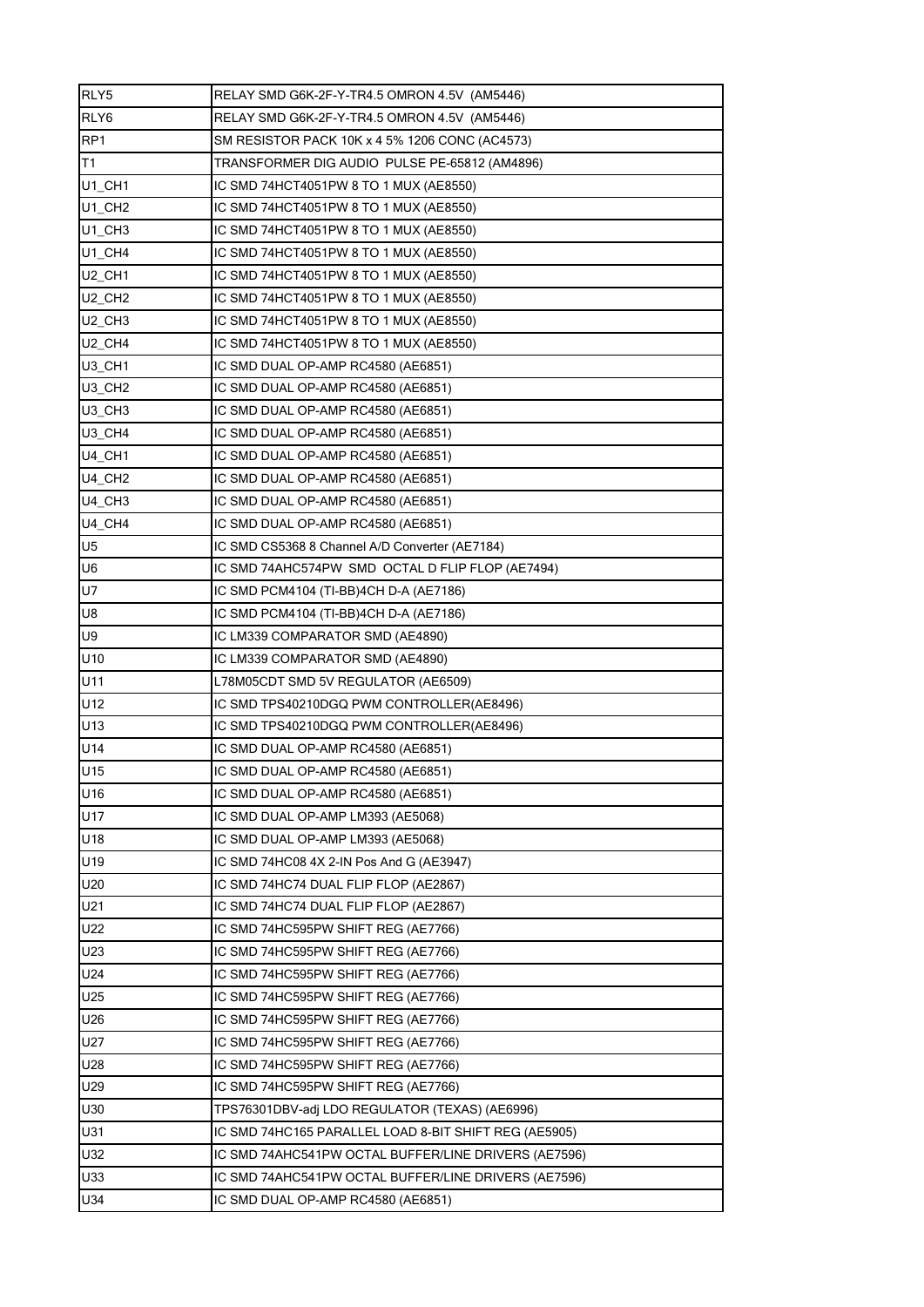| RLY5                           | RELAY SMD G6K-2F-Y-TR4.5 OMRON 4.5V (AM5446)          |
|--------------------------------|-------------------------------------------------------|
| RLY6                           | RELAY SMD G6K-2F-Y-TR4.5 OMRON 4.5V (AM5446)          |
| RP <sub>1</sub>                | SM RESISTOR PACK 10K x 4 5% 1206 CONC (AC4573)        |
| T1                             | TRANSFORMER DIG AUDIO PULSE PE-65812 (AM4896)         |
| $U1_C$ CH1                     | IC SMD 74HCT4051PW 8 TO 1 MUX (AE8550)                |
| $U1$ <sub>_CH2</sub>           | IC SMD 74HCT4051PW 8 TO 1 MUX (AE8550)                |
| $U1_C$ CH3                     | IC SMD 74HCT4051PW 8 TO 1 MUX (AE8550)                |
| $U1_C$ CH4                     | IC SMD 74HCT4051PW 8 TO 1 MUX (AE8550)                |
| U <sub>2</sub> CH <sub>1</sub> | IC SMD 74HCT4051PW 8 TO 1 MUX (AE8550)                |
| U <sub>2</sub> CH <sub>2</sub> | IC SMD 74HCT4051PW 8 TO 1 MUX (AE8550)                |
| $U2$ <sub>_CH3</sub>           | IC SMD 74HCT4051PW 8 TO 1 MUX (AE8550)                |
| U2_CH4                         | IC SMD 74HCT4051PW 8 TO 1 MUX (AE8550)                |
| U3_CH1                         | IC SMD DUAL OP-AMP RC4580 (AE6851)                    |
| $U3$ <sub>_CH2</sub>           | IC SMD DUAL OP-AMP RC4580 (AE6851)                    |
| U <sub>3</sub> CH <sub>3</sub> | IC SMD DUAL OP-AMP RC4580 (AE6851)                    |
| U3 CH4                         | IC SMD DUAL OP-AMP RC4580 (AE6851)                    |
| <b>U4 CH1</b>                  | IC SMD DUAL OP-AMP RC4580 (AE6851)                    |
| U4_CH2                         | IC SMD DUAL OP-AMP RC4580 (AE6851)                    |
| U4_CH3                         | IC SMD DUAL OP-AMP RC4580 (AE6851)                    |
| U4_CH4                         | IC SMD DUAL OP-AMP RC4580 (AE6851)                    |
| U <sub>5</sub>                 | IC SMD CS5368 8 Channel A/D Converter (AE7184)        |
| U6                             | IC SMD 74AHC574PW SMD OCTAL D FLIP FLOP (AE7494)      |
| U7                             | IC SMD PCM4104 (TI-BB)4CH D-A (AE7186)                |
| U8                             | IC SMD PCM4104 (TI-BB)4CH D-A (AE7186)                |
| U9                             | IC LM339 COMPARATOR SMD (AE4890)                      |
| U10                            | IC LM339 COMPARATOR SMD (AE4890)                      |
| U11                            | L78M05CDT SMD 5V REGULATOR (AE6509)                   |
| U12                            | IC SMD TPS40210DGQ PWM CONTROLLER(AE8496)             |
| U13                            | IC SMD TPS40210DGQ PWM CONTROLLER(AE8496)             |
| U14                            | IC SMD DUAL OP-AMP RC4580 (AE6851)                    |
| U15                            | IC SMD DUAL OP-AMP RC4580 (AE6851)                    |
| U16                            | IC SMD DUAL OP-AMP RC4580 (AE6851)                    |
| U17                            | IC SMD DUAL OP-AMP LM393 (AE5068)                     |
| U18                            | IC SMD DUAL OP-AMP LM393 (AE5068)                     |
| U19                            | IC SMD 74HC08 4X 2-IN Pos And G (AE3947)              |
| U20                            | IC SMD 74HC74 DUAL FLIP FLOP (AE2867)                 |
| U21                            | IC SMD 74HC74 DUAL FLIP FLOP (AE2867)                 |
| U22                            | IC SMD 74HC595PW SHIFT REG (AE7766)                   |
| U23                            | IC SMD 74HC595PW SHIFT REG (AE7766)                   |
| U24                            | IC SMD 74HC595PW SHIFT REG (AE7766)                   |
| U25                            | IC SMD 74HC595PW SHIFT REG (AE7766)                   |
| U26                            | IC SMD 74HC595PW SHIFT REG (AE7766)                   |
| U27                            | IC SMD 74HC595PW SHIFT REG (AE7766)                   |
| U28                            | IC SMD 74HC595PW SHIFT REG (AE7766)                   |
| U29                            | IC SMD 74HC595PW SHIFT REG (AE7766)                   |
| U30                            | TPS76301DBV-adj LDO REGULATOR (TEXAS) (AE6996)        |
| U31                            | IC SMD 74HC165 PARALLEL LOAD 8-BIT SHIFT REG (AE5905) |
| U32                            | IC SMD 74AHC541PW OCTAL BUFFER/LINE DRIVERS (AE7596)  |
| U33                            | IC SMD 74AHC541PW OCTAL BUFFER/LINE DRIVERS (AE7596)  |
| U34                            | IC SMD DUAL OP-AMP RC4580 (AE6851)                    |